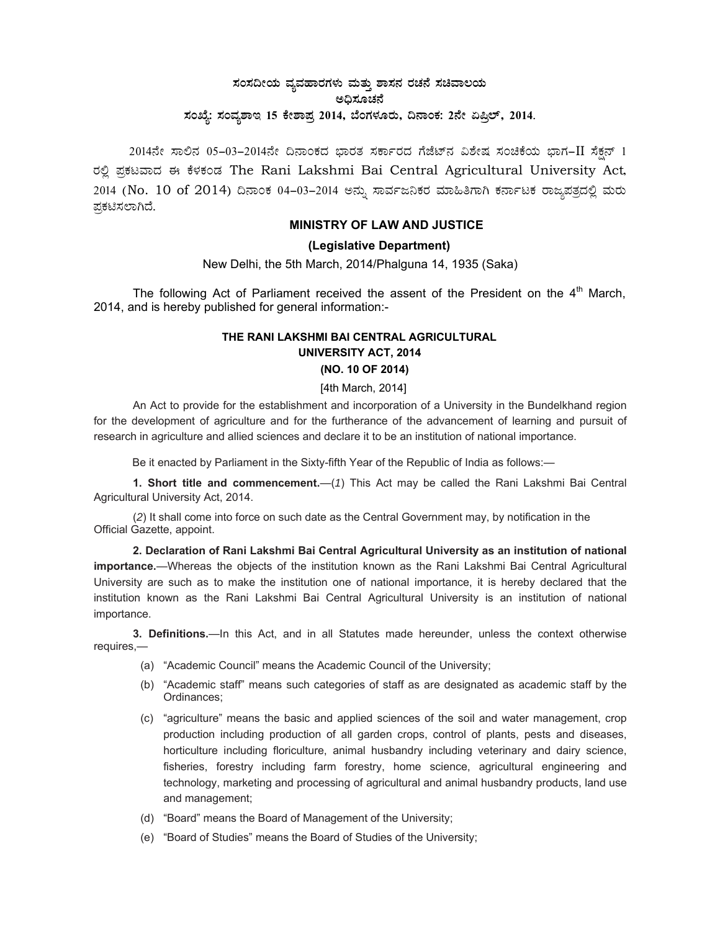# $\,$ ಸಂಸದೀಯ ವ್ಯವಹಾರಗಳು ಮತ್ತು ಶಾಸನ ರಚನೆ ಸಚಿವಾಲಯ ಅಧಿಸೂಚನೆ ಸಂಖ್ಯೆ: ಸಂವ್ಯಶಾಇ 15 ಕೇಶಾಪ್ರ 2014, ಬೆಂಗಳೂರು, ದಿನಾಂಕ: 2ನೇ ಏಪ್ರಿಲ್, 2014.

 $2014$ ನೇ ಸಾಲಿನ 05-03-2014ನೇ ದಿನಾಂಕದ ಭಾರತ ಸರ್ಕಾರದ ಗೆಜೆಟ್ನ ವಿಶೇಷ ಸಂಚಿಕೆಯ ಭಾಗ-II ಸೆಕ್ಷನ್ 1 ರಲ್ಲಿ ಪ್ರಕಟವಾದ ಈ ಕೆಳಕಂಡ The Rani Lakshmi Bai Central Agricultural University Act, 2014 (No. 10 of 2014) ದಿನಾಂಕ 04–03–2014 ಅನ್ನು ಸಾರ್ವಜನಿಕರ ಮಾಹಿತಿಗಾಗಿ ಕರ್ನಾಟಕ ರಾಜ್ಯಪತ್ರದಲ್ಲಿ ಮರು ಪ್ರಕಟಿಸಲಾಗಿದೆ.

## **MINISTRY OF LAW AND JUSTICE**

## **(Legislative Department)**

New Delhi, the 5th March, 2014/Phalguna 14, 1935 (Saka)

The following Act of Parliament received the assent of the President on the  $4<sup>th</sup>$  March, 2014, and is hereby published for general information:-

## **THE RANI LAKSHMI BAI CENTRAL AGRICULTURAL UNIVERSITY ACT, 2014 (NO. 10 OF 2014)**

## [4th March, 2014]

An Act to provide for the establishment and incorporation of a University in the Bundelkhand region for the development of agriculture and for the furtherance of the advancement of learning and pursuit of research in agriculture and allied sciences and declare it to be an institution of national importance.

Be it enacted by Parliament in the Sixty-fifth Year of the Republic of India as follows:—

**1. Short title and commencement.**—(*1*) This Act may be called the Rani Lakshmi Bai Central Agricultural University Act, 2014.

(*2*) It shall come into force on such date as the Central Government may, by notification in the Official Gazette, appoint.

**2. Declaration of Rani Lakshmi Bai Central Agricultural University as an institution of national importance.**—Whereas the objects of the institution known as the Rani Lakshmi Bai Central Agricultural University are such as to make the institution one of national importance, it is hereby declared that the institution known as the Rani Lakshmi Bai Central Agricultural University is an institution of national importance.

**3. Definitions.**—In this Act, and in all Statutes made hereunder, unless the context otherwise requires,—

- (a) "Academic Council" means the Academic Council of the University;
- (b) "Academic staff" means such categories of staff as are designated as academic staff by the Ordinances;
- (c) "agriculture" means the basic and applied sciences of the soil and water management, crop production including production of all garden crops, control of plants, pests and diseases, horticulture including floriculture, animal husbandry including veterinary and dairy science, fisheries, forestry including farm forestry, home science, agricultural engineering and technology, marketing and processing of agricultural and animal husbandry products, land use and management;
- (d) "Board" means the Board of Management of the University;
- (e) "Board of Studies" means the Board of Studies of the University;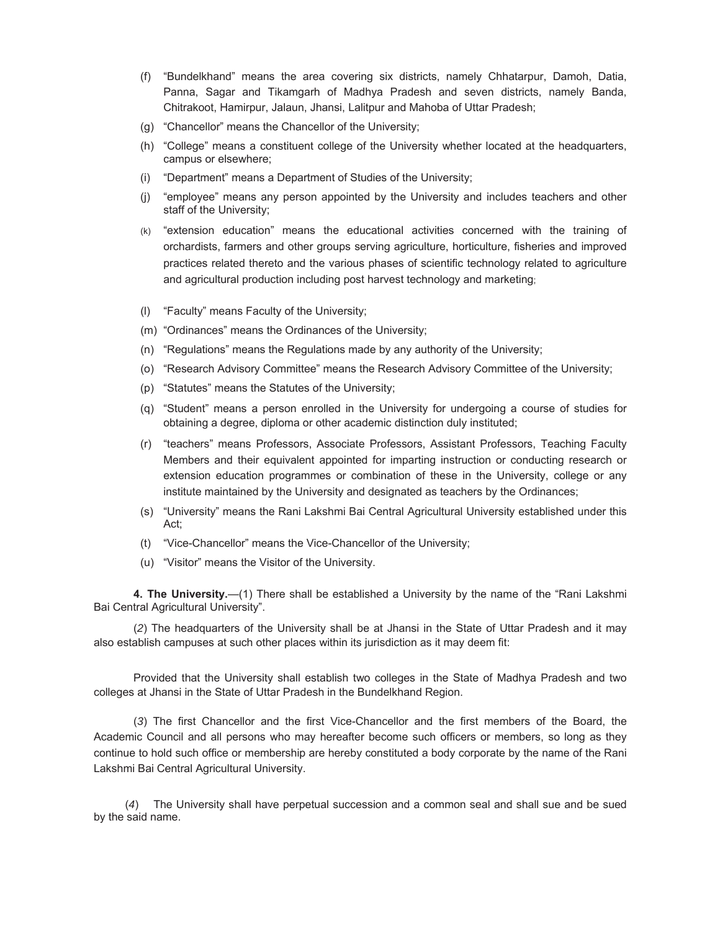- (f) "Bundelkhand" means the area covering six districts, namely Chhatarpur, Damoh, Datia, Panna, Sagar and Tikamgarh of Madhya Pradesh and seven districts, namely Banda, Chitrakoot, Hamirpur, Jalaun, Jhansi, Lalitpur and Mahoba of Uttar Pradesh;
- (g) "Chancellor" means the Chancellor of the University;
- (h) "College" means a constituent college of the University whether located at the headquarters, campus or elsewhere;
- (i) "Department" means a Department of Studies of the University;
- (j) "employee" means any person appointed by the University and includes teachers and other staff of the University;
- (k) "extension education" means the educational activities concerned with the training of orchardists, farmers and other groups serving agriculture, horticulture, fisheries and improved practices related thereto and the various phases of scientific technology related to agriculture and agricultural production including post harvest technology and marketing;
- (l) "Faculty" means Faculty of the University;
- (m) "Ordinances" means the Ordinances of the University;
- (n) "Regulations" means the Regulations made by any authority of the University;
- (o) "Research Advisory Committee" means the Research Advisory Committee of the University;
- (p) "Statutes" means the Statutes of the University;
- (q) "Student" means a person enrolled in the University for undergoing a course of studies for obtaining a degree, diploma or other academic distinction duly instituted;
- (r) "teachers" means Professors, Associate Professors, Assistant Professors, Teaching Faculty Members and their equivalent appointed for imparting instruction or conducting research or extension education programmes or combination of these in the University, college or any institute maintained by the University and designated as teachers by the Ordinances;
- (s) "University" means the Rani Lakshmi Bai Central Agricultural University established under this Act;
- (t) "Vice-Chancellor" means the Vice-Chancellor of the University;
- (u) "Visitor" means the Visitor of the University.

**4. The University.**—(1) There shall be established a University by the name of the "Rani Lakshmi Bai Central Agricultural University".

(*2*) The headquarters of the University shall be at Jhansi in the State of Uttar Pradesh and it may also establish campuses at such other places within its jurisdiction as it may deem fit:

Provided that the University shall establish two colleges in the State of Madhya Pradesh and two colleges at Jhansi in the State of Uttar Pradesh in the Bundelkhand Region.

 (*3*) The first Chancellor and the first Vice-Chancellor and the first members of the Board, the Academic Council and all persons who may hereafter become such officers or members, so long as they continue to hold such office or membership are hereby constituted a body corporate by the name of the Rani Lakshmi Bai Central Agricultural University.

 (*4*) The University shall have perpetual succession and a common seal and shall sue and be sued by the said name.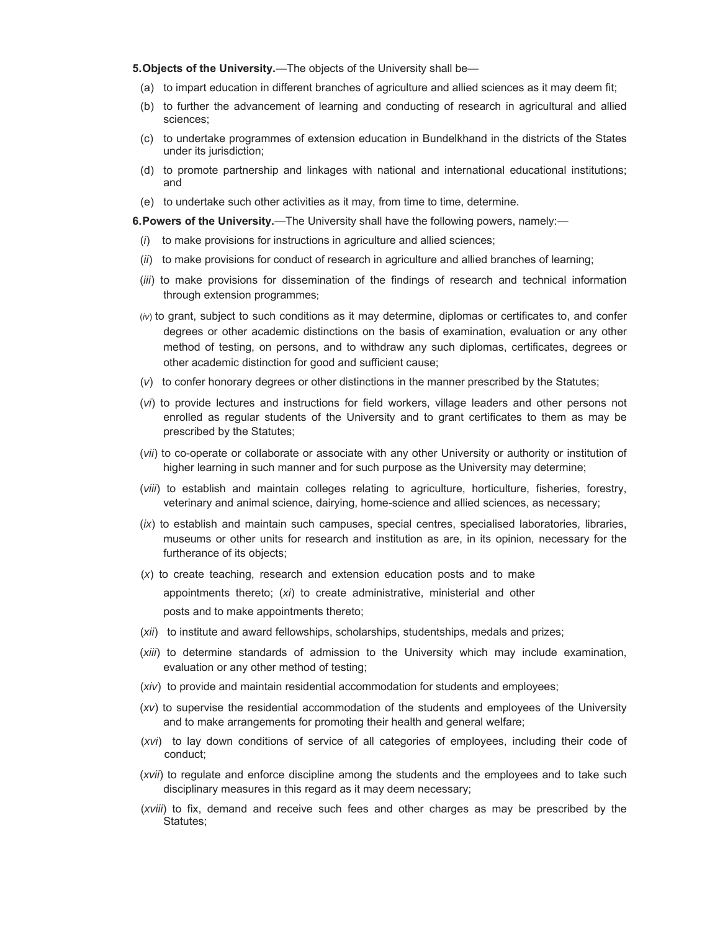**5. Objects of the University.**—The objects of the University shall be—

- (a) to impart education in different branches of agriculture and allied sciences as it may deem fit;
- (b) to further the advancement of learning and conducting of research in agricultural and allied sciences;
- (c) to undertake programmes of extension education in Bundelkhand in the districts of the States under its jurisdiction;
- (d) to promote partnership and linkages with national and international educational institutions; and
- (e) to undertake such other activities as it may, from time to time, determine.

**6. Powers of the University.**—The University shall have the following powers, namely:—

- (*i*) to make provisions for instructions in agriculture and allied sciences;
- (*ii*) to make provisions for conduct of research in agriculture and allied branches of learning;
- (*iii*) to make provisions for dissemination of the findings of research and technical information through extension programmes;
- (*iv*) to grant, subject to such conditions as it may determine, diplomas or certificates to, and confer degrees or other academic distinctions on the basis of examination, evaluation or any other method of testing, on persons, and to withdraw any such diplomas, certificates, degrees or other academic distinction for good and sufficient cause;
- (*v*) to confer honorary degrees or other distinctions in the manner prescribed by the Statutes;
- (*vi*) to provide lectures and instructions for field workers, village leaders and other persons not enrolled as regular students of the University and to grant certificates to them as may be prescribed by the Statutes;
- (*vii*) to co-operate or collaborate or associate with any other University or authority or institution of higher learning in such manner and for such purpose as the University may determine;
- (*viii*) to establish and maintain colleges relating to agriculture, horticulture, fisheries, forestry, veterinary and animal science, dairying, home-science and allied sciences, as necessary;
- (*ix*) to establish and maintain such campuses, special centres, specialised laboratories, libraries, museums or other units for research and institution as are, in its opinion, necessary for the furtherance of its objects;
- (*x*) to create teaching, research and extension education posts and to make appointments thereto; (*xi*) to create administrative, ministerial and other posts and to make appointments thereto;
- (*xii*) to institute and award fellowships, scholarships, studentships, medals and prizes;
- (*xiii*) to determine standards of admission to the University which may include examination, evaluation or any other method of testing;
- (*xiv*) to provide and maintain residential accommodation for students and employees;
- (*xv*) to supervise the residential accommodation of the students and employees of the University and to make arrangements for promoting their health and general welfare;
- (*xvi*) to lay down conditions of service of all categories of employees, including their code of conduct;
- (*xvii*) to regulate and enforce discipline among the students and the employees and to take such disciplinary measures in this regard as it may deem necessary;
- (*xviii*) to fix, demand and receive such fees and other charges as may be prescribed by the Statutes;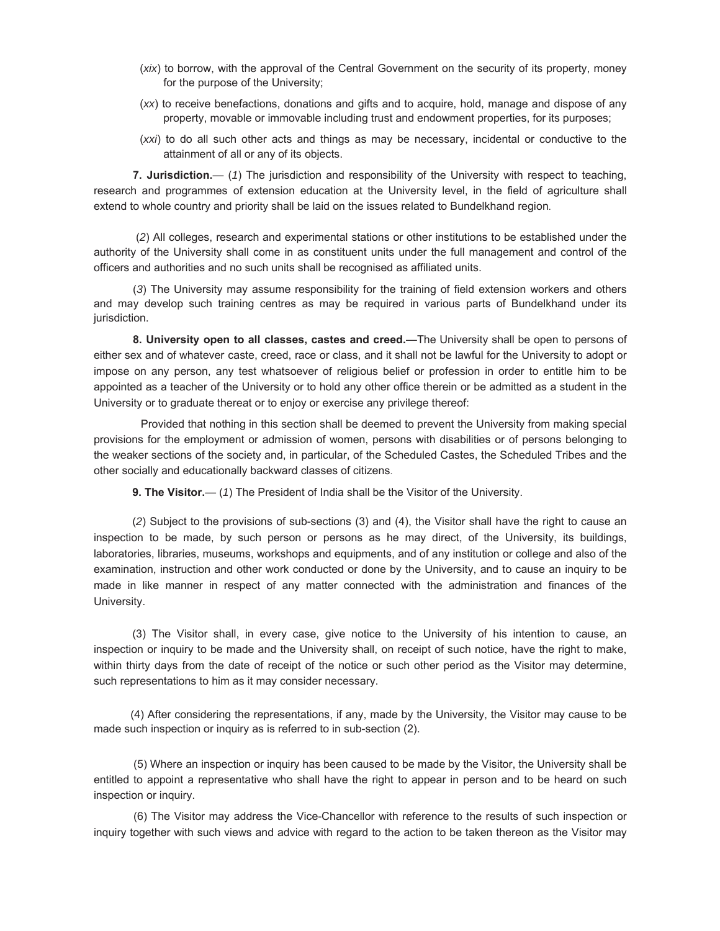- (*xix*) to borrow, with the approval of the Central Government on the security of its property, money for the purpose of the University;
- (*xx*) to receive benefactions, donations and gifts and to acquire, hold, manage and dispose of any property, movable or immovable including trust and endowment properties, for its purposes;
- (*xxi*) to do all such other acts and things as may be necessary, incidental or conductive to the attainment of all or any of its objects.

**7. Jurisdiction.**— (*1*) The jurisdiction and responsibility of the University with respect to teaching, research and programmes of extension education at the University level, in the field of agriculture shall extend to whole country and priority shall be laid on the issues related to Bundelkhand region.

 (*2*) All colleges, research and experimental stations or other institutions to be established under the authority of the University shall come in as constituent units under the full management and control of the officers and authorities and no such units shall be recognised as affiliated units.

(*3*) The University may assume responsibility for the training of field extension workers and others and may develop such training centres as may be required in various parts of Bundelkhand under its jurisdiction.

**8. University open to all classes, castes and creed.**—The University shall be open to persons of either sex and of whatever caste, creed, race or class, and it shall not be lawful for the University to adopt or impose on any person, any test whatsoever of religious belief or profession in order to entitle him to be appointed as a teacher of the University or to hold any other office therein or be admitted as a student in the University or to graduate thereat or to enjoy or exercise any privilege thereof:

Provided that nothing in this section shall be deemed to prevent the University from making special provisions for the employment or admission of women, persons with disabilities or of persons belonging to the weaker sections of the society and, in particular, of the Scheduled Castes, the Scheduled Tribes and the other socially and educationally backward classes of citizens.

**9. The Visitor.**— (*1*) The President of India shall be the Visitor of the University.

(*2*) Subject to the provisions of sub-sections (3) and (4), the Visitor shall have the right to cause an inspection to be made, by such person or persons as he may direct, of the University, its buildings, laboratories, libraries, museums, workshops and equipments, and of any institution or college and also of the examination, instruction and other work conducted or done by the University, and to cause an inquiry to be made in like manner in respect of any matter connected with the administration and finances of the University.

(3) The Visitor shall, in every case, give notice to the University of his intention to cause, an inspection or inquiry to be made and the University shall, on receipt of such notice, have the right to make, within thirty days from the date of receipt of the notice or such other period as the Visitor may determine, such representations to him as it may consider necessary.

 (4) After considering the representations, if any, made by the University, the Visitor may cause to be made such inspection or inquiry as is referred to in sub-section (2).

(5) Where an inspection or inquiry has been caused to be made by the Visitor, the University shall be entitled to appoint a representative who shall have the right to appear in person and to be heard on such inspection or inquiry.

(6) The Visitor may address the Vice-Chancellor with reference to the results of such inspection or inquiry together with such views and advice with regard to the action to be taken thereon as the Visitor may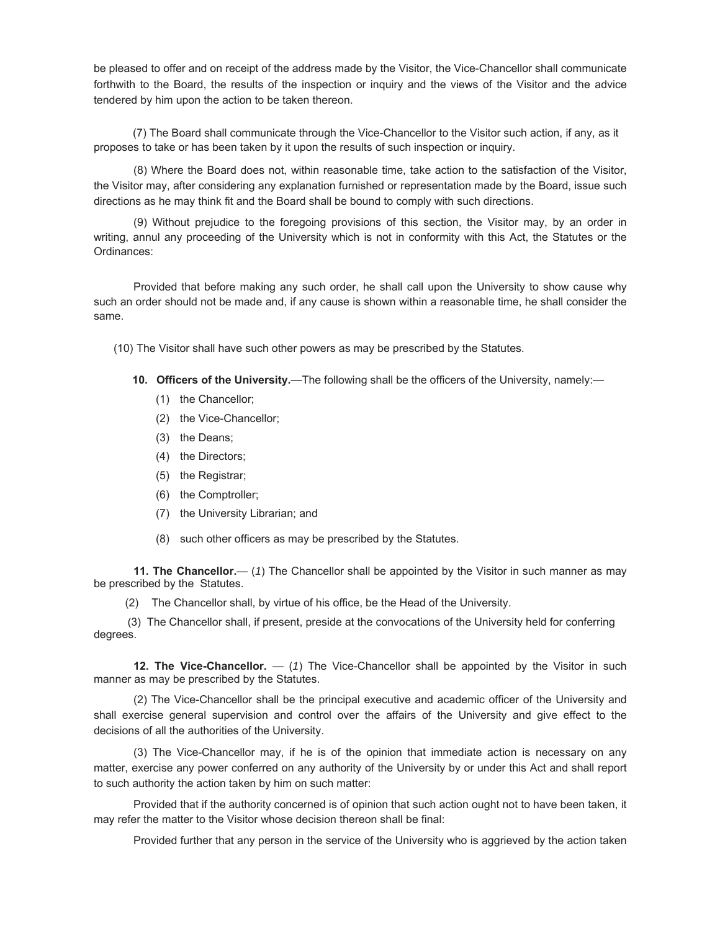be pleased to offer and on receipt of the address made by the Visitor, the Vice-Chancellor shall communicate forthwith to the Board, the results of the inspection or inquiry and the views of the Visitor and the advice tendered by him upon the action to be taken thereon.

 (7) The Board shall communicate through the Vice-Chancellor to the Visitor such action, if any, as it proposes to take or has been taken by it upon the results of such inspection or inquiry.

(8) Where the Board does not, within reasonable time, take action to the satisfaction of the Visitor, the Visitor may, after considering any explanation furnished or representation made by the Board, issue such directions as he may think fit and the Board shall be bound to comply with such directions.

(9) Without prejudice to the foregoing provisions of this section, the Visitor may, by an order in writing, annul any proceeding of the University which is not in conformity with this Act, the Statutes or the Ordinances:

Provided that before making any such order, he shall call upon the University to show cause why such an order should not be made and, if any cause is shown within a reasonable time, he shall consider the same.

(10)The Visitor shall have such other powers as may be prescribed by the Statutes.

- 10. Officers of the University.—The following shall be the officers of the University, namely:—
	- (1) the Chancellor;
	- (2) the Vice-Chancellor;
	- (3) the Deans;
	- (4) the Directors;
	- (5) the Registrar;
	- (6) the Comptroller;
	- (7) the University Librarian; and
	- (8) such other officers as may be prescribed by the Statutes.

**11. The Chancellor.**— (*1*) The Chancellor shall be appointed by the Visitor in such manner as may be prescribed by theStatutes.

(2) The Chancellor shall, by virtue of his office, be the Head of the University.

 (3) The Chancellor shall, if present, preside at the convocations of the University held for conferring degrees.

**12. The Vice-Chancellor.** — (*1*) The Vice-Chancellor shall be appointed by the Visitor in such manner as may be prescribed by the Statutes.

(2) The Vice-Chancellor shall be the principal executive and academic officer of the University and shall exercise general supervision and control over the affairs of the University and give effect to the decisions of all the authorities of the University.

(3) The Vice-Chancellor may, if he is of the opinion that immediate action is necessary on any matter, exercise any power conferred on any authority of the University by or under this Act and shall report to such authority the action taken by him on such matter:

Provided that if the authority concerned is of opinion that such action ought not to have been taken, it may refer the matter to the Visitor whose decision thereon shall be final:

Provided further that any person in the service of the University who is aggrieved by the action taken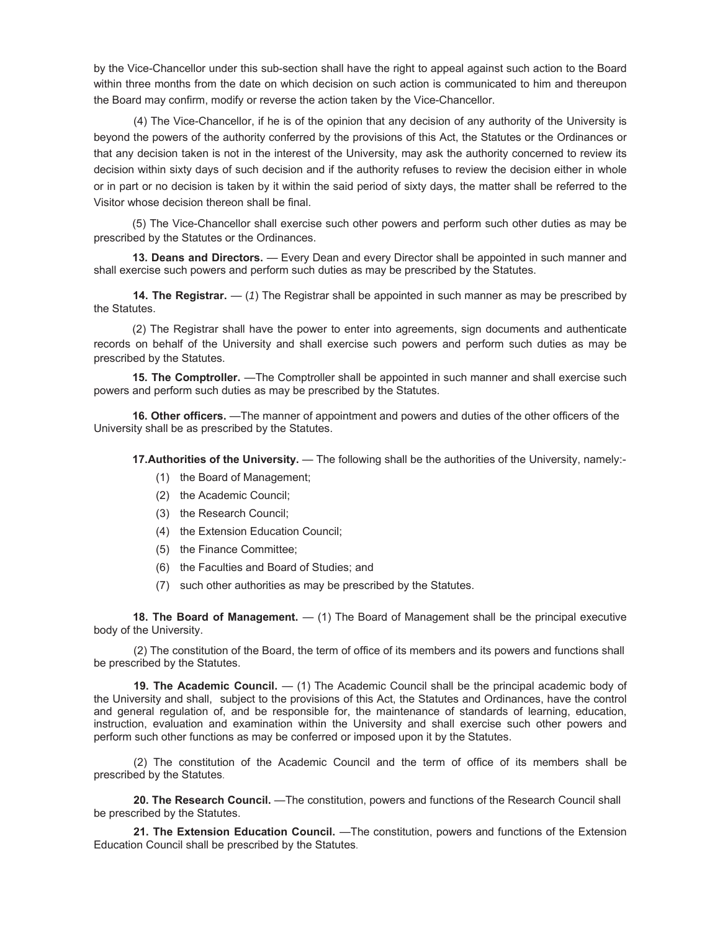by the Vice-Chancellor under this sub-section shall have the right to appeal against such action to the Board within three months from the date on which decision on such action is communicated to him and thereupon the Board may confirm, modify or reverse the action taken by the Vice-Chancellor.

(4) The Vice-Chancellor, if he is of the opinion that any decision of any authority of the University is beyond the powers of the authority conferred by the provisions of this Act, the Statutes or the Ordinances or that any decision taken is not in the interest of the University, may ask the authority concerned to review its decision within sixty days of such decision and if the authority refuses to review the decision either in whole or in part or no decision is taken by it within the said period of sixty days, the matter shall be referred to the Visitor whose decision thereon shall be final.

(5) The Vice-Chancellor shall exercise such other powers and perform such other duties as may be prescribed by the Statutes or the Ordinances.

**13. Deans and Directors.** — Every Dean and every Director shall be appointed in such manner and shall exercise such powers and perform such duties as may be prescribed by the Statutes.

 **14. The Registrar.** — (*1*) The Registrar shall be appointed in such manner as may be prescribed by the Statutes.

(2) The Registrar shall have the power to enter into agreements, sign documents and authenticate records on behalf of the University and shall exercise such powers and perform such duties as may be prescribed by the Statutes.

**15. The Comptroller.** —The Comptroller shall be appointed in such manner and shall exercise such powers and perform such duties as may be prescribed by the Statutes.

**16. Other officers.** —The manner of appointment and powers and duties of the other officers of the University shall be as prescribed by the Statutes.

**17. Authorities of the University.** — The following shall be the authorities of the University, namely:-

- (1) the Board of Management;
- (2) the Academic Council;
- (3) the Research Council;
- (4) the Extension Education Council;
- (5) the Finance Committee;
- (6) the Faculties and Board of Studies; and
- (7) such other authorities as may be prescribed by the Statutes.

 **18. The Board of Management.** — (1) The Board of Management shall be the principal executive body of the University.

(2) The constitution of the Board, the term of office of its members and its powers and functions shall be prescribed by the Statutes.

**19. The Academic Council.** — (1) The Academic Council shall be the principal academic body of the University and shall,subject to the provisions of this Act, the Statutes and Ordinances, have the control and general regulation of, and be responsible for, the maintenance of standards of learning, education, instruction, evaluation and examination within the University and shall exercise such other powers and perform such other functions as may be conferred or imposed upon it by the Statutes.

(2) The constitution of the Academic Council and the term of office of its members shall be prescribed by the Statutes.

**20. The Research Council.** —The constitution, powers and functions of the Research Council shall be prescribed by the Statutes.

**21. The Extension Education Council.** —The constitution, powers and functions of the Extension Education Council shall be prescribed by the Statutes.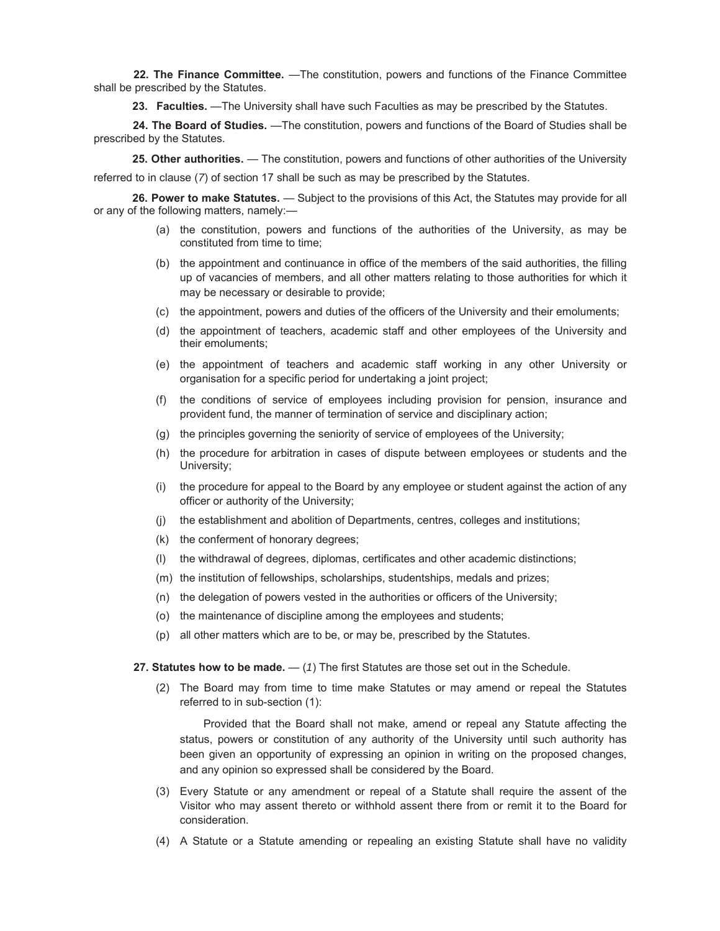**22. The Finance Committee.** —The constitution, powers and functions of the Finance Committee shall be prescribed by the Statutes.

**23. Faculties.** —The University shall have such Faculties as may be prescribed by the Statutes.

 **24. The Board of Studies.** —The constitution, powers and functions of the Board of Studies shall be prescribed by the Statutes.

25. Other authorities. — The constitution, powers and functions of other authorities of the University referred to in clause (*7*) of section 17 shall be such as may be prescribed by the Statutes.

**26. Power to make Statutes.** — Subject to the provisions of this Act, the Statutes may provide for all or any of the following matters, namely:—

- (a) the constitution, powers and functions of the authorities of the University, as may be constituted from time to time;
- (b) the appointment and continuance in office of the members of the said authorities, the filling up of vacancies of members, and all other matters relating to those authorities for which it may be necessary or desirable to provide;
- (c) the appointment, powers and duties of the officers of the University and their emoluments;
- (d) the appointment of teachers, academic staff and other employees of the University and their emoluments;
- (e) the appointment of teachers and academic staff working in any other University or organisation for a specific period for undertaking a joint project;
- (f) the conditions of service of employees including provision for pension, insurance and provident fund, the manner of termination of service and disciplinary action;
- (g) the principles governing the seniority of service of employees of the University;
- (h) the procedure for arbitration in cases of dispute between employees or students and the University;
- (i) the procedure for appeal to the Board by any employee or student against the action of any officer or authority of the University;
- (j) the establishment and abolition of Departments, centres, colleges and institutions;
- (k) the conferment of honorary degrees;
- (l) the withdrawal of degrees, diplomas, certificates and other academic distinctions;
- (m) the institution of fellowships, scholarships, studentships, medals and prizes;
- (n) the delegation of powers vested in the authorities or officers of the University;
- (o) the maintenance of discipline among the employees and students;
- (p) all other matters which are to be, or may be, prescribed by the Statutes.
- **27. Statutes how to be made.**  (*1*) The first Statutes are those set out in the Schedule.
	- (2) The Board may from time to time make Statutes or may amend or repeal the Statutes referred to in sub-section (1):

Provided that the Board shall not make, amend or repeal any Statute affecting the status, powers or constitution of any authority of the University until such authority has been given an opportunity of expressing an opinion in writing on the proposed changes, and any opinion so expressed shall be considered by the Board.

- (3) Every Statute or any amendment or repeal of a Statute shall require the assent of the Visitor who may assent thereto or withhold assent there from or remit it to the Board for consideration.
- (4) A Statute or a Statute amending or repealing an existing Statute shall have no validity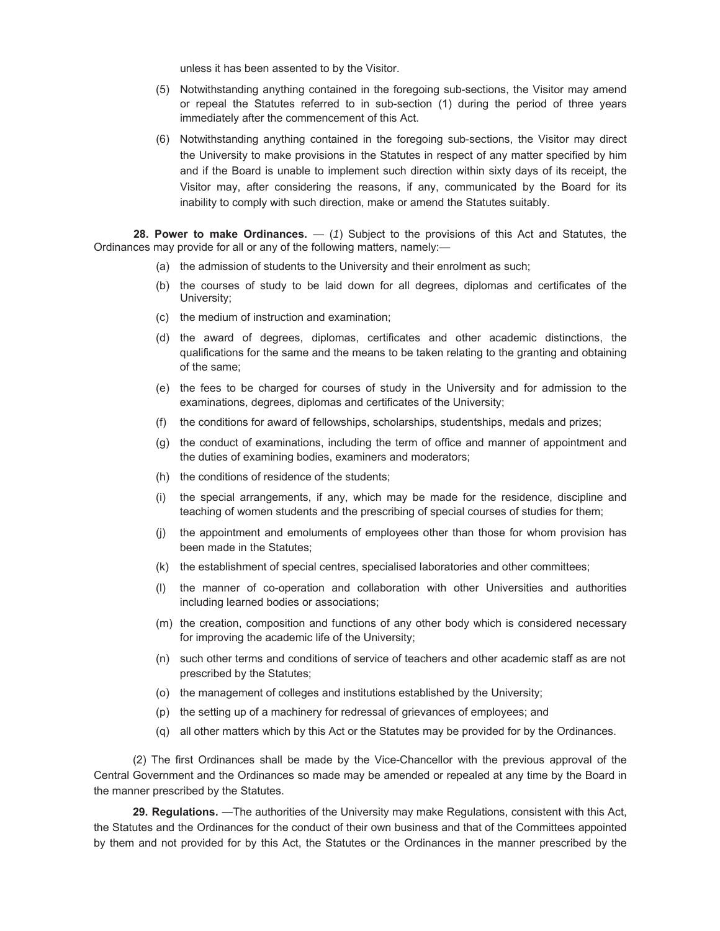unless it has been assented to by the Visitor.

- (5) Notwithstanding anything contained in the foregoing sub-sections, the Visitor may amend or repeal the Statutes referred to in sub-section (1) during the period of three years immediately after the commencement of this Act.
- (6) Notwithstanding anything contained in the foregoing sub-sections, the Visitor may direct the University to make provisions in the Statutes in respect of any matter specified by him and if the Board is unable to implement such direction within sixty days of its receipt, the Visitor may, after considering the reasons, if any, communicated by the Board for its inability to comply with such direction, make or amend the Statutes suitably.

**28. Power to make Ordinances.** — (*1*) Subject to the provisions of this Act and Statutes, the Ordinances may provide for all or any of the following matters, namely:—

- (a) the admission of students to the University and their enrolment as such;
- (b) the courses of study to be laid down for all degrees, diplomas and certificates of the University;
- (c) the medium of instruction and examination;
- (d) the award of degrees, diplomas, certificates and other academic distinctions, the qualifications for the same and the means to be taken relating to the granting and obtaining of the same;
- (e) the fees to be charged for courses of study in the University and for admission to the examinations, degrees, diplomas and certificates of the University;
- (f) the conditions for award of fellowships, scholarships, studentships, medals and prizes;
- (g) the conduct of examinations, including the term of office and manner of appointment and the duties of examining bodies, examiners and moderators;
- (h) the conditions of residence of the students;
- (i) the special arrangements, if any, which may be made for the residence, discipline and teaching of women students and the prescribing of special courses of studies for them;
- (j) the appointment and emoluments of employees other than those for whom provision has been made in the Statutes;
- (k) the establishment of special centres, specialised laboratories and other committees;
- (l) the manner of co-operation and collaboration with other Universities and authorities including learned bodies or associations;
- (m) the creation, composition and functions of any other body which is considered necessary for improving the academic life of the University;
- (n) such other terms and conditions of service of teachers and other academic staff as are not prescribed by the Statutes;
- (o) the management of colleges and institutions established by the University;
- (p) the setting up of a machinery for redressal of grievances of employees; and
- (q) all other matters which by this Act or the Statutes may be provided for by the Ordinances.

(2) The first Ordinances shall be made by the Vice-Chancellor with the previous approval of the Central Government and the Ordinances so made may be amended or repealed at any time by the Board in the manner prescribed by the Statutes.

**29. Regulations.** —The authorities of the University may make Regulations, consistent with this Act, the Statutes and the Ordinances for the conduct of their own business and that of the Committees appointed by them and not provided for by this Act, the Statutes or the Ordinances in the manner prescribed by the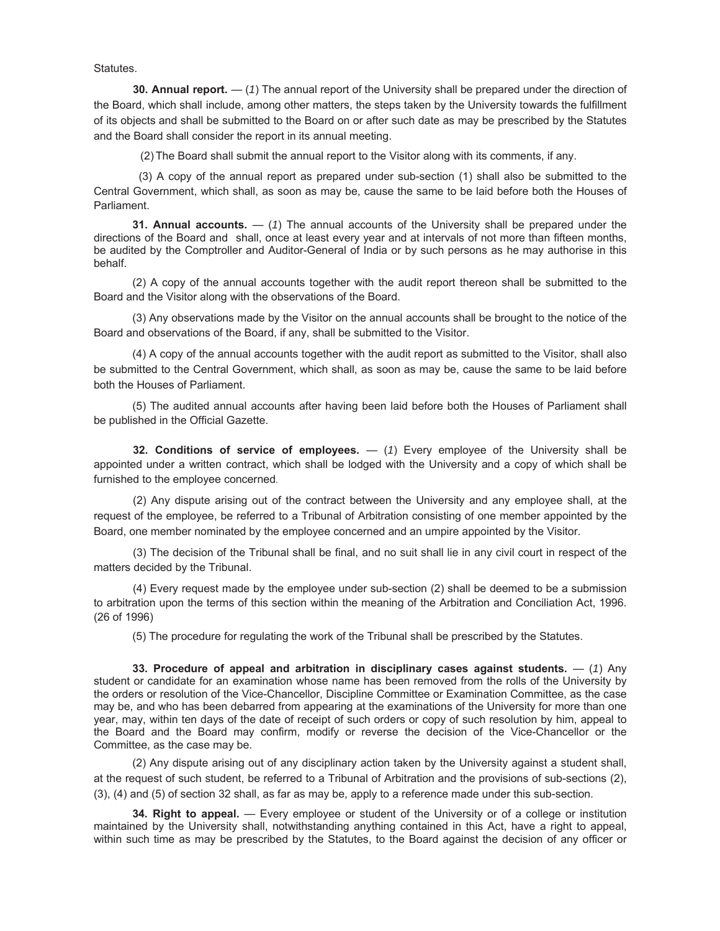Statutes.

**30. Annual report.** — (*1*) The annual report of the University shall be prepared under the direction of the Board, which shall include, among other matters, the steps taken by the University towards the fulfillment of its objects and shall be submitted to the Board on or after such date as may be prescribed by the Statutes and the Board shall consider the report in its annual meeting.

(2) The Board shall submit the annual report to the Visitor along with its comments, if any.

 (3) A copy of the annual report as prepared under sub-section (1) shall also be submitted to the Central Government, which shall, as soon as may be, cause the same to be laid before both the Houses of Parliament.

**31. Annual accounts.** — (*1*) The annual accounts of the University shall be prepared under the directions of the Board andshall, once at least every year and at intervals of not more than fifteen months, be audited by the Comptroller and Auditor-General of India or by such persons as he may authorise in this behalf.

(2) A copy of the annual accounts together with the audit report thereon shall be submitted to the Board and the Visitor along with the observations of the Board.

(3) Any observations made by the Visitor on the annual accounts shall be brought to the notice of the Board and observations of the Board, if any, shall be submitted to the Visitor.

(4) A copy of the annual accounts together with the audit report as submitted to the Visitor, shall also be submitted to the Central Government, which shall, as soon as may be, cause the same to be laid before both the Houses of Parliament.

(5) The audited annual accounts after having been laid before both the Houses of Parliament shall be published in the Official Gazette.

**32. Conditions of service of employees.** — (*1*) Every employee of the University shall be appointed under a written contract, which shall be lodged with the University and a copy of which shall be furnished to the employee concerned.

(2) Any dispute arising out of the contract between the University and any employee shall, at the request of the employee, be referred to a Tribunal of Arbitration consisting of one member appointed by the Board, one member nominated by the employee concerned and an umpire appointed by the Visitor.

(3) The decision of the Tribunal shall be final, and no suit shall lie in any civil court in respect of the matters decided by the Tribunal.

(4) Every request made by the employee under sub-section (2) shall be deemed to be a submission to arbitration upon the terms of this section within the meaning of the Arbitration and Conciliation Act, 1996. (26 of 1996)

(5) The procedure for regulating the work of the Tribunal shall be prescribed by the Statutes.

**33. Procedure of appeal and arbitration in disciplinary cases against students.** — (*1*) Any student or candidate for an examination whose name has been removed from the rolls of the University by the orders or resolution of the Vice-Chancellor, Discipline Committee or Examination Committee, as the case may be, and who has been debarred from appearing at the examinations of the University for more than one year, may, within ten days of the date of receipt of such orders or copy of such resolution by him, appeal to the Board and the Board may confirm, modify or reverse the decision of the Vice-Chancellor or the Committee, as the case may be.

(2) Any dispute arising out of any disciplinary action taken by the University against a student shall, at the request of such student, be referred to a Tribunal of Arbitration and the provisions of sub-sections (2), (3), (4) and (5) of section 32 shall, as far as may be, apply to a reference made under this sub-section.

**34. Right to appeal.** — Every employee or student of the University or of a college or institution maintained by the University shall, notwithstanding anything contained in this Act, have a right to appeal, within such time as may be prescribed by the Statutes, to the Board against the decision of any officer or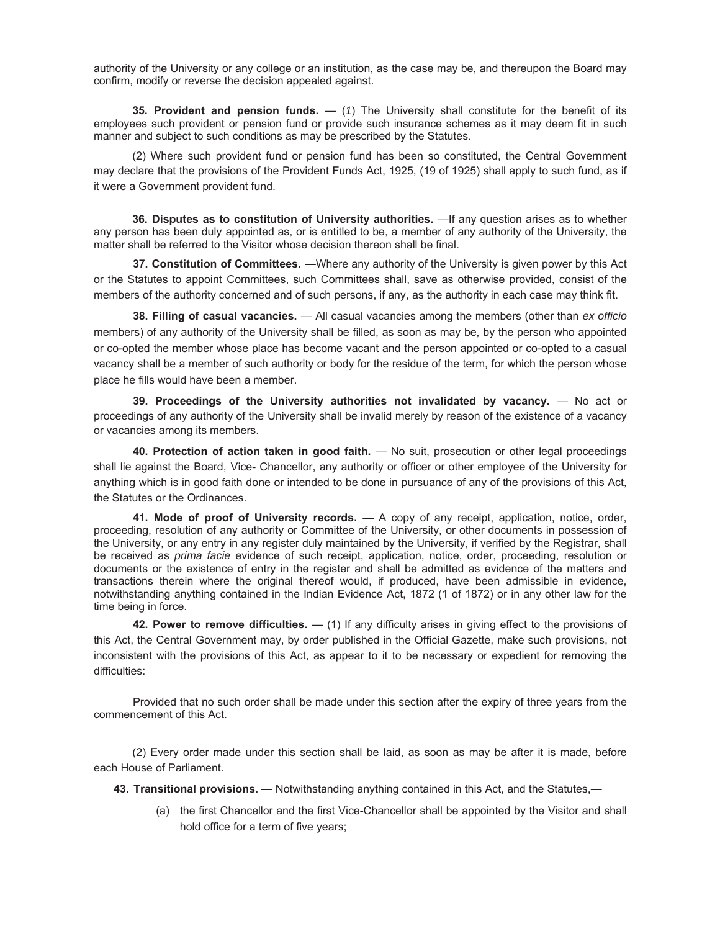authority of the University or any college or an institution, as the case may be, and thereupon the Board may confirm, modify or reverse the decision appealed against.

**35. Provident and pension funds.** — (*1*) The University shall constitute for the benefit of its employees such provident or pension fund or provide such insurance schemes as it may deem fit in such manner and subject to such conditions as may be prescribed by the Statutes.

(2) Where such provident fund or pension fund has been so constituted, the Central Government may declare that the provisions of the Provident Funds Act, 1925, (19 of 1925) shall apply to such fund, as if it were a Government provident fund.

**36. Disputes as to constitution of University authorities.** —If any question arises as to whether any person has been duly appointed as, or is entitled to be, a member of any authority of the University, the matter shall be referred to the Visitor whose decision thereon shall be final.

**37. Constitution of Committees.** —Where any authority of the University is given power by this Act or the Statutes to appoint Committees, such Committees shall, save as otherwise provided, consist of the members of the authority concerned and of such persons, if any, as the authority in each case may think fit.

**38. Filling of casual vacancies.** — All casual vacancies among the members (other than *ex officio* members) of any authority of the University shall be filled, as soon as may be, by the person who appointed or co-opted the member whose place has become vacant and the person appointed or co-opted to a casual vacancy shall be a member of such authority or body for the residue of the term, for which the person whose place he fills would have been a member.

**39. Proceedings of the University authorities not invalidated by vacancy.** — No act or proceedings of any authority of the University shall be invalid merely by reason of the existence of a vacancy or vacancies among its members.

**40. Protection of action taken in good faith.** — No suit, prosecution or other legal proceedings shall lie against the Board, Vice- Chancellor, any authority or officer or other employee of the University for anything which is in good faith done or intended to be done in pursuance of any of the provisions of this Act, the Statutes or the Ordinances.

**41. Mode of proof of University records.** — A copy of any receipt, application, notice, order, proceeding, resolution of any authority or Committee of the University, or other documents in possession of the University, or any entry in any register duly maintained by the University, if verified by the Registrar, shall be received as *prima facie* evidence of such receipt, application, notice, order, proceeding, resolution or documents or the existence of entry in the register and shall be admitted as evidence of the matters and transactions therein where the original thereof would, if produced, have been admissible in evidence, notwithstanding anything contained in the Indian Evidence Act, 1872 (1 of 1872) or in any other law for the time being in force.

**42. Power to remove difficulties.** — (1) If any difficulty arises in giving effect to the provisions of this Act, the Central Government may, by order published in the Official Gazette, make such provisions, not inconsistent with the provisions of this Act, as appear to it to be necessary or expedient for removing the difficulties:

Provided that no such order shall be made under this section after the expiry of three years from the commencement of this Act.

(2) Every order made under this section shall be laid, as soon as may be after it is made, before each House of Parliament.

**43. Transitional provisions.** — Notwithstanding anything contained in this Act, and the Statutes,—

(a) the first Chancellor and the first Vice-Chancellor shall be appointed by the Visitor and shall hold office for a term of five years;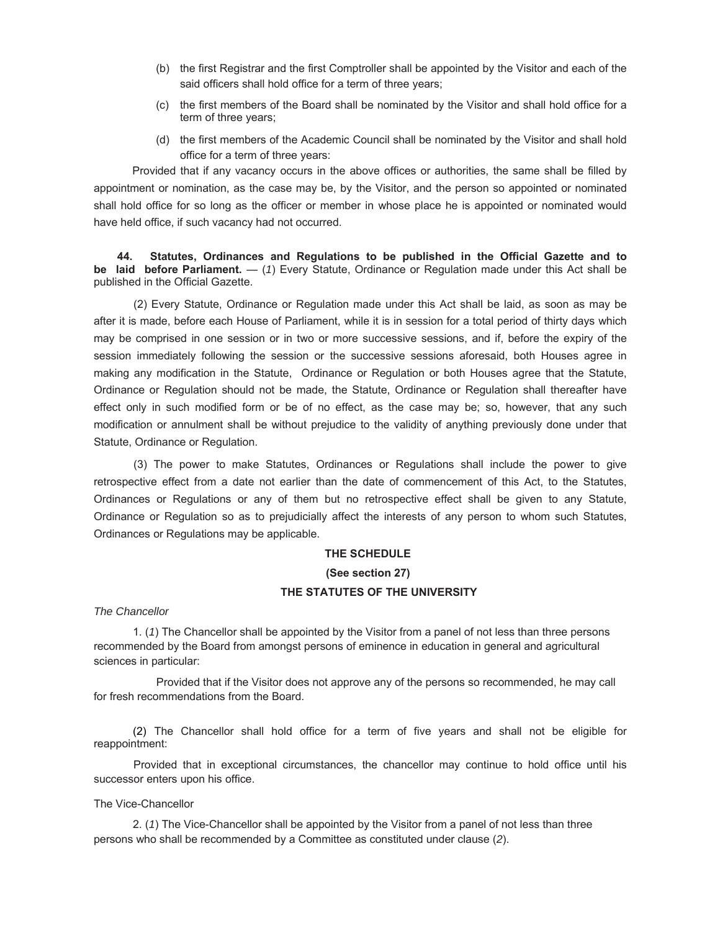- (b) the first Registrar and the first Comptroller shall be appointed by the Visitor and each of the said officers shall hold office for a term of three years;
- (c) the first members of the Board shall be nominated by the Visitor and shall hold office for a term of three years;
- (d) the first members of the Academic Council shall be nominated by the Visitor and shall hold office for a term of three years:

Provided that if any vacancy occurs in the above offices or authorities, the same shall be filled by appointment or nomination, as the case may be, by the Visitor, and the person so appointed or nominated shall hold office for so long as the officer or member in whose place he is appointed or nominated would have held office, if such vacancy had not occurred.

 **44. Statutes, Ordinances and Regulations to be published in the Official Gazette and to be laid before Parliament.** — (*1*) Every Statute, Ordinance or Regulation made under this Act shall be published in the Official Gazette.

(2) Every Statute, Ordinance or Regulation made under this Act shall be laid, as soon as may be after it is made, before each House of Parliament, while it is in session for a total period of thirty days which may be comprised in one session or in two or more successive sessions, and if, before the expiry of the session immediately following the session or the successive sessions aforesaid, both Houses agree in making any modification in the Statute, Ordinance or Regulation or both Houses agree that the Statute, Ordinance or Regulation should not be made, the Statute, Ordinance or Regulation shall thereafter have effect only in such modified form or be of no effect, as the case may be; so, however, that any such modification or annulment shall be without prejudice to the validity of anything previously done under that Statute, Ordinance or Regulation.

(3) The power to make Statutes, Ordinances or Regulations shall include the power to give retrospective effect from a date not earlier than the date of commencement of this Act, to the Statutes, Ordinances or Regulations or any of them but no retrospective effect shall be given to any Statute, Ordinance or Regulation so as to prejudicially affect the interests of any person to whom such Statutes, Ordinances or Regulations may be applicable.

### **THE SCHEDULE**

#### **(See section 27)**

#### **THE STATUTES OF THE UNIVERSITY**

*The Chancellor*

1. (*1*) The Chancellor shall be appointed by the Visitor from a panel of not less than three persons recommended by the Board from amongst persons of eminence in education in general and agricultural sciences in particular:

Provided that if the Visitor does not approve any of the persons so recommended, he may call for fresh recommendations from the Board.

(2) The Chancellor shall hold office for a term of five years and shall not be eligible for reappointment:

Provided that in exceptional circumstances, the chancellor may continue to hold office until his successor enters upon his office.

#### The Vice-Chancellor

2. (*1*) The Vice-Chancellor shall be appointed by the Visitor from a panel of not less than three persons who shall be recommended by a Committee as constituted under clause (*2*).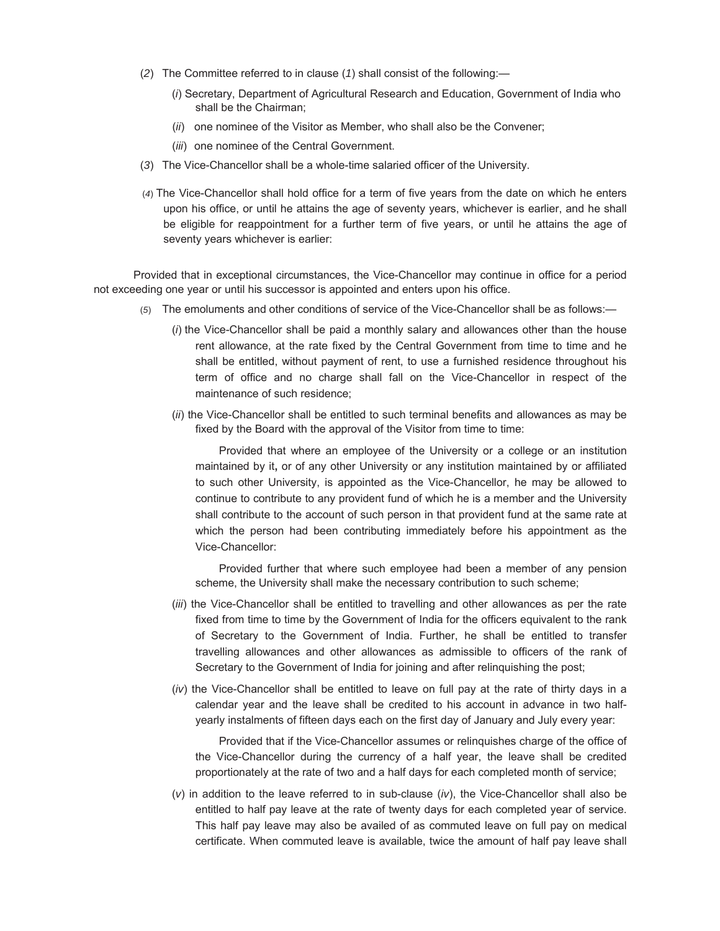- (*2*) The Committee referred to in clause (*1*) shall consist of the following:—
	- (*i*) Secretary, Department of Agricultural Research and Education, Government of India who shall be the Chairman;
	- (*ii*) one nominee of the Visitor as Member, who shall also be the Convener;
	- (*iii*) one nominee of the Central Government.
- (*3*) The Vice-Chancellor shall be a whole-time salaried officer of the University.
- (*4*) The Vice-Chancellor shall hold office for a term of five years from the date on which he enters upon his office, or until he attains the age of seventy years, whichever is earlier, and he shall be eligible for reappointment for a further term of five years, or until he attains the age of seventy years whichever is earlier:

Provided that in exceptional circumstances, the Vice-Chancellor may continue in office for a period not exceeding one year or until his successor is appointed and enters upon his office.

- (*5*) The emoluments and other conditions of service of the Vice-Chancellor shall be as follows:—
	- (*i*) the Vice-Chancellor shall be paid a monthly salary and allowances other than the house rent allowance, at the rate fixed by the Central Government from time to time and he shall be entitled, without payment of rent, to use a furnished residence throughout his term of office and no charge shall fall on the Vice-Chancellor in respect of the maintenance of such residence;
	- (*ii*) the Vice-Chancellor shall be entitled to such terminal benefits and allowances as may be fixed by the Board with the approval of the Visitor from time to time:

Provided that where an employee of the University or a college or an institution maintained by it**,** or of any other University or any institution maintained by or affiliated to such other University, is appointed as the Vice-Chancellor, he may be allowed to continue to contribute to any provident fund of which he is a member and the University shall contribute to the account of such person in that provident fund at the same rate at which the person had been contributing immediately before his appointment as the Vice-Chancellor:

Provided further that where such employee had been a member of any pension scheme, the University shall make the necessary contribution to such scheme;

- (*iii*) the Vice-Chancellor shall be entitled to travelling and other allowances as per the rate fixed from time to time by the Government of India for the officers equivalent to the rank of Secretary to the Government of India. Further, he shall be entitled to transfer travelling allowances and other allowances as admissible to officers of the rank of Secretary to the Government of India for joining and after relinquishing the post;
- (*iv*) the Vice-Chancellor shall be entitled to leave on full pay at the rate of thirty days in a calendar year and the leave shall be credited to his account in advance in two halfyearly instalments of fifteen days each on the first day of January and July every year:

Provided that if the Vice-Chancellor assumes or relinquishes charge of the office of the Vice-Chancellor during the currency of a half year, the leave shall be credited proportionately at the rate of two and a half days for each completed month of service;

(*v*) in addition to the leave referred to in sub-clause (*iv*), the Vice-Chancellor shall also be entitled to half pay leave at the rate of twenty days for each completed year of service. This half pay leave may also be availed of as commuted leave on full pay on medical certificate. When commuted leave is available, twice the amount of half pay leave shall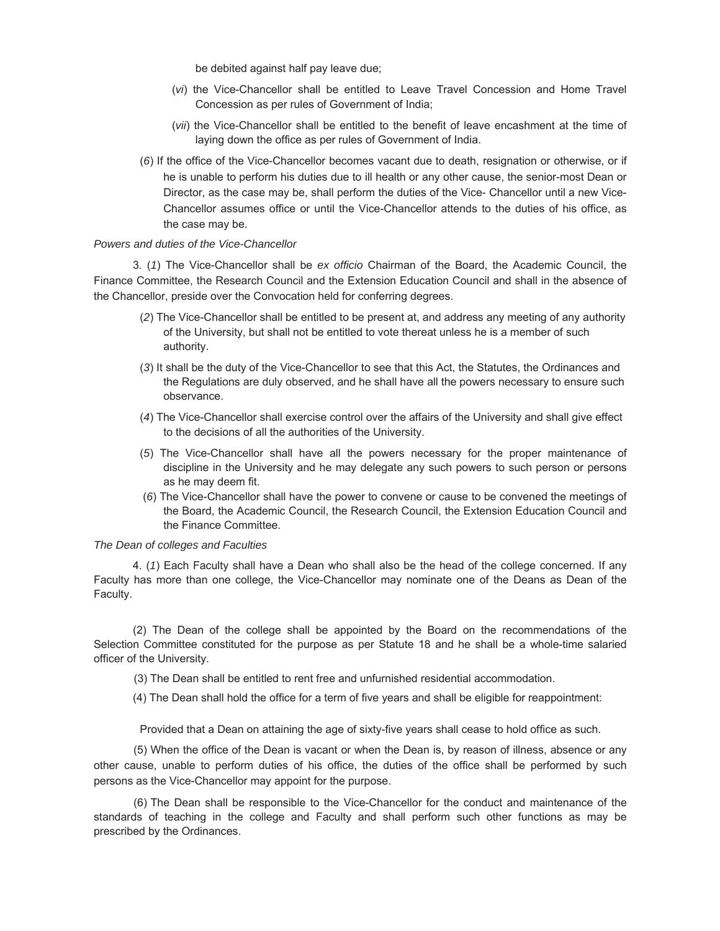be debited against half pay leave due;

- (*vi*) the Vice-Chancellor shall be entitled to Leave Travel Concession and Home Travel Concession as per rules of Government of India;
- (*vii*) the Vice-Chancellor shall be entitled to the benefit of leave encashment at the time of laying down the office as per rules of Government of India.
- (*6*) If the office of the Vice-Chancellor becomes vacant due to death, resignation or otherwise, or if he is unable to perform his duties due to ill health or any other cause, the senior-most Dean or Director, as the case may be, shall perform the duties of the Vice- Chancellor until a new Vice-Chancellor assumes office or until the Vice-Chancellor attends to the duties of his office, as the case may be.

## *Powers and duties of the Vice-Chancellor*

3. (*1*) The Vice-Chancellor shall be *ex officio* Chairman of the Board, the Academic Council, the Finance Committee, the Research Council and the Extension Education Council and shall in the absence of the Chancellor, preside over the Convocation held for conferring degrees.

- (*2*) The Vice-Chancellor shall be entitled to be present at, and address any meeting of any authority of the University, but shall not be entitled to vote thereat unless he is a member of such authority.
- (*3*) It shall be the duty of the Vice-Chancellor to see that this Act, the Statutes, the Ordinances and the Regulations are duly observed, and he shall have all the powers necessary to ensure such observance.
- (*4*) The Vice-Chancellor shall exercise control over the affairs of the University and shall give effect to the decisions of all the authorities of the University.
- (*5*) The Vice-Chancellor shall have all the powers necessary for the proper maintenance of discipline in the University and he may delegate any such powers to such person or persons as he may deem fit.
- (*6*) The Vice-Chancellor shall have the power to convene or cause to be convened the meetings of the Board, the Academic Council, the Research Council, the Extension Education Council and the Finance Committee.

#### *The Dean of colleges and Faculties*

4. (*1*) Each Faculty shall have a Dean who shall also be the head of the college concerned. If any Faculty has more than one college, the Vice-Chancellor may nominate one of the Deans as Dean of the Faculty.

(2) The Dean of the college shall be appointed by the Board on the recommendations of the Selection Committee constituted for the purpose as per Statute 18 and he shall be a whole-time salaried officer of the University.

(3) The Dean shall be entitled to rent free and unfurnished residential accommodation.

(4) The Dean shall hold the office for a term of five years and shall be eligible for reappointment:

Provided that a Dean on attaining the age of sixty-five years shall cease to hold office as such.

(5) When the office of the Dean is vacant or when the Dean is, by reason of illness, absence or any other cause, unable to perform duties of his office, the duties of the office shall be performed by such persons as the Vice-Chancellor may appoint for the purpose.

(6) The Dean shall be responsible to the Vice-Chancellor for the conduct and maintenance of the standards of teaching in the college and Faculty and shall perform such other functions as may be prescribed by the Ordinances.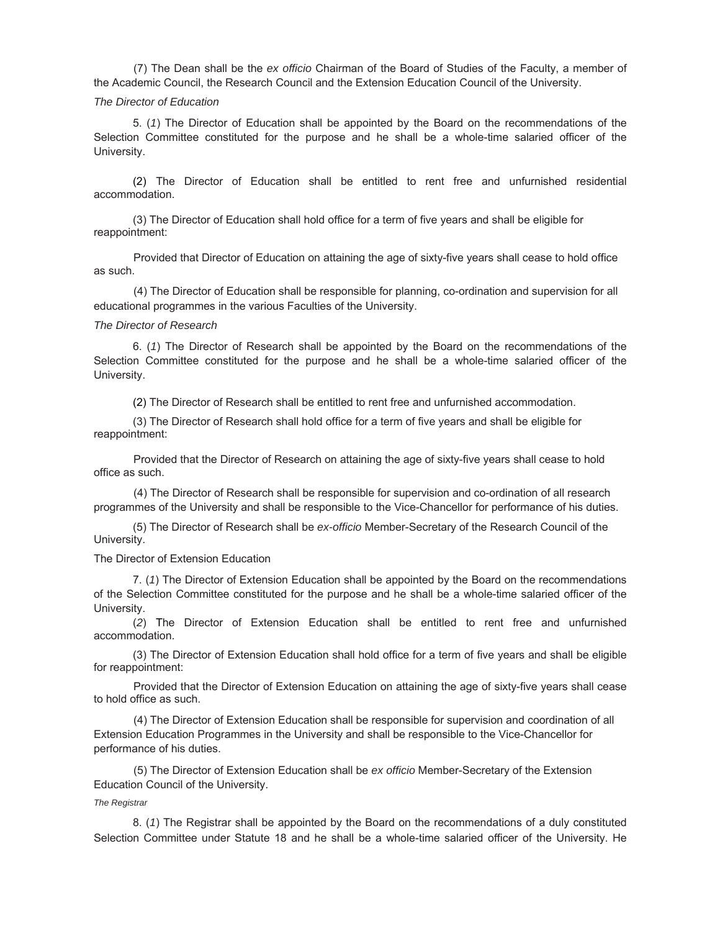(7) The Dean shall be the *ex officio* Chairman of the Board of Studies of the Faculty, a member of the Academic Council, the Research Council and the Extension Education Council of the University.

#### *The Director of Education*

5. (*1*) The Director of Education shall be appointed by the Board on the recommendations of the Selection Committee constituted for the purpose and he shall be a whole-time salaried officer of the University.

(2) The Director of Education shall be entitled to rent free and unfurnished residential accommodation.

 (3) The Director of Education shall hold office for a term of five years and shall be eligible for reappointment:

Provided that Director of Education on attaining the age of sixty-five years shall cease to hold office as such.

(4) The Director of Education shall be responsible for planning, co-ordination and supervision for all educational programmes in the various Faculties of the University.

#### *The Director of Research*

6. (*1*) The Director of Research shall be appointed by the Board on the recommendations of the Selection Committee constituted for the purpose and he shall be a whole-time salaried officer of the University.

(2) The Director of Research shall be entitled to rent free and unfurnished accommodation.

 (3) The Director of Research shall hold office for a term of five years and shall be eligible for reappointment:

Provided that the Director of Research on attaining the age of sixty-five years shall cease to hold office as such.

(4) The Director of Research shall be responsible for supervision and co-ordination of all research programmes of the University and shall be responsible to the Vice-Chancellor for performance of his duties.

 (5) The Director of Research shall be *ex-officio* Member-Secretary of the Research Council of the University.

#### The Director of Extension Education

7. (*1*) The Director of Extension Education shall be appointed by the Board on the recommendations of the Selection Committee constituted for the purpose and he shall be a whole-time salaried officer of the University.

 (*2*) The Director of Extension Education shall be entitled to rent free and unfurnished accommodation.

 (3) The Director of Extension Education shall hold office for a term of five years and shall be eligible for reappointment:

Provided that the Director of Extension Education on attaining the age of sixty-five years shall cease to hold office as such.

(4) The Director of Extension Education shall be responsible for supervision and coordination of all Extension Education Programmes in the University and shall be responsible to the Vice-Chancellor for performance of his duties.

(5) The Director of Extension Education shall be *ex officio* Member-Secretary of the Extension Education Council of the University.

#### *The Registrar*

8. (*1*) The Registrar shall be appointed by the Board on the recommendations of a duly constituted Selection Committee under Statute 18 and he shall be a whole-time salaried officer of the University. He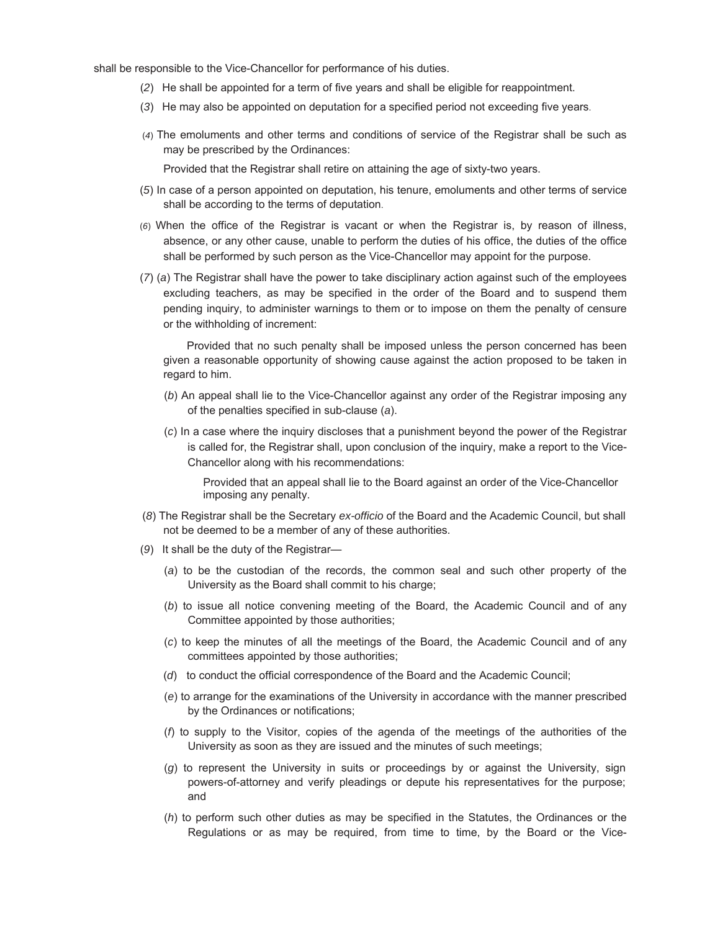shall be responsible to the Vice-Chancellor for performance of his duties.

- (*2*) He shall be appointed for a term of five years and shall be eligible for reappointment.
- (*3*) He may also be appointed on deputation for a specified period not exceeding five years.
- (*4*) The emoluments and other terms and conditions of service of the Registrar shall be such as may be prescribed by the Ordinances:

Provided that the Registrar shall retire on attaining the age of sixty-two years.

- (*5*) In case of a person appointed on deputation, his tenure, emoluments and other terms of service shall be according to the terms of deputation.
- (*6*) When the office of the Registrar is vacant or when the Registrar is, by reason of illness, absence, or any other cause, unable to perform the duties of his office, the duties of the office shall be performed by such person as the Vice-Chancellor may appoint for the purpose.
- (*7*) (*a*) The Registrar shall have the power to take disciplinary action against such of the employees excluding teachers, as may be specified in the order of the Board and to suspend them pending inquiry, to administer warnings to them or to impose on them the penalty of censure or the withholding of increment:

Provided that no such penalty shall be imposed unless the person concerned has been given a reasonable opportunity of showing cause against the action proposed to be taken in regard to him.

- (*b*) An appeal shall lie to the Vice-Chancellor against any order of the Registrar imposing any of the penalties specified in sub-clause (*a*).
- (*c*) In a case where the inquiry discloses that a punishment beyond the power of the Registrar is called for, the Registrar shall, upon conclusion of the inquiry, make a report to the Vice-Chancellor along with his recommendations:

Provided that an appeal shall lie to the Board against an order of the Vice-Chancellor imposing any penalty.

- (*8*) The Registrar shall be the Secretary *ex-officio* of the Board and the Academic Council, but shall not be deemed to be a member of any of these authorities.
- (*9*) It shall be the duty of the Registrar—
	- (*a*) to be the custodian of the records, the common seal and such other property of the University as the Board shall commit to his charge;
	- (*b*) to issue all notice convening meeting of the Board, the Academic Council and of any Committee appointed by those authorities;
	- (*c*) to keep the minutes of all the meetings of the Board, the Academic Council and of any committees appointed by those authorities;
	- (*d*) to conduct the official correspondence of the Board and the Academic Council;
	- (*e*) to arrange for the examinations of the University in accordance with the manner prescribed by the Ordinances or notifications;
	- (*f*) to supply to the Visitor, copies of the agenda of the meetings of the authorities of the University as soon as they are issued and the minutes of such meetings;
	- (*g*) to represent the University in suits or proceedings by or against the University, sign powers-of-attorney and verify pleadings or depute his representatives for the purpose; and
	- (*h*) to perform such other duties as may be specified in the Statutes, the Ordinances or the Regulations or as may be required, from time to time, by the Board or the Vice-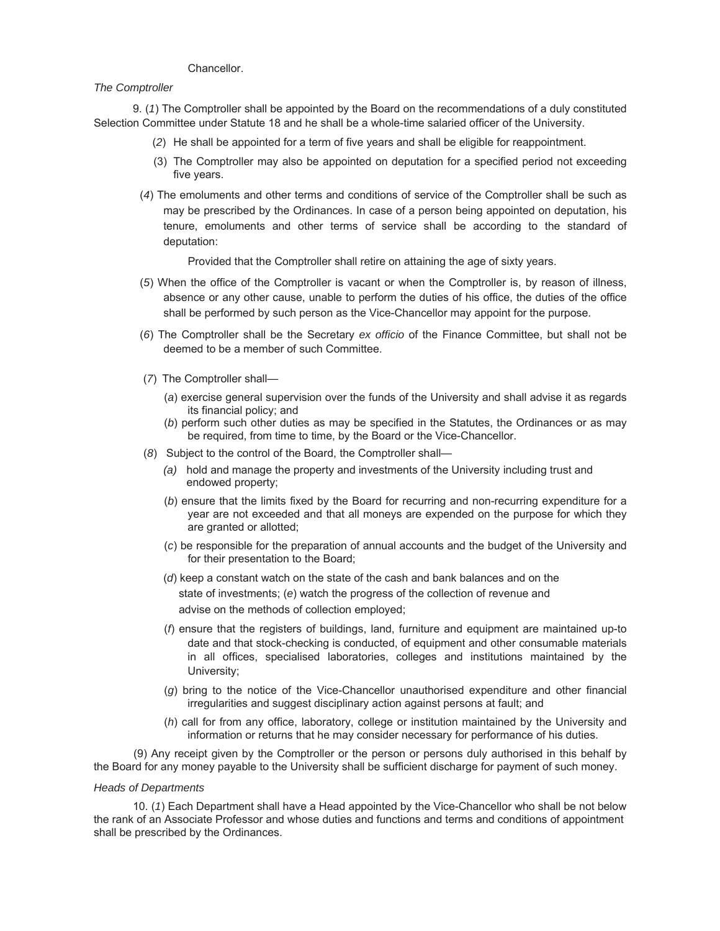## Chancellor.

## *The Comptroller*

9. (*1*) The Comptroller shall be appointed by the Board on the recommendations of a duly constituted Selection Committee under Statute 18 and he shall be a whole-time salaried officer of the University.

- (*2*) He shall be appointed for a term of five years and shall be eligible for reappointment.
- (3) The Comptroller may also be appointed on deputation for a specified period not exceeding five years.
- (*4*) The emoluments and other terms and conditions of service of the Comptroller shall be such as may be prescribed by the Ordinances. In case of a person being appointed on deputation, his tenure, emoluments and other terms of service shall be according to the standard of deputation:

Provided that the Comptroller shall retire on attaining the age of sixty years.

- (*5*) When the office of the Comptroller is vacant or when the Comptroller is, by reason of illness, absence or any other cause, unable to perform the duties of his office, the duties of the office shall be performed by such person as the Vice-Chancellor may appoint for the purpose.
- (*6*) The Comptroller shall be the Secretary *ex officio* of the Finance Committee, but shall not be deemed to be a member of such Committee.
- (*7*) The Comptroller shall—
	- (*a*) exercise general supervision over the funds of the University and shall advise it as regards its financial policy; and
	- (*b*) perform such other duties as may be specified in the Statutes, the Ordinances or as may be required, from time to time, by the Board or the Vice-Chancellor.
- (*8*) Subject to the control of the Board, the Comptroller shall—
	- *(a)* hold and manage the property and investments of the University including trust and endowed property;
	- (*b*) ensure that the limits fixed by the Board for recurring and non-recurring expenditure for a year are not exceeded and that all moneys are expended on the purpose for which they are granted or allotted;
	- (*c*) be responsible for the preparation of annual accounts and the budget of the University and for their presentation to the Board;
	- (*d*) keep a constant watch on the state of the cash and bank balances and on the state of investments; (*e*) watch the progress of the collection of revenue and advise on the methods of collection employed;
	- (*f*) ensure that the registers of buildings, land, furniture and equipment are maintained up-to date and that stock-checking is conducted, of equipment and other consumable materials in all offices, specialised laboratories, colleges and institutions maintained by the University;
	- (*g*) bring to the notice of the Vice-Chancellor unauthorised expenditure and other financial irregularities and suggest disciplinary action against persons at fault; and
	- (*h*) call for from any office, laboratory, college or institution maintained by the University and information or returns that he may consider necessary for performance of his duties.

(9) Any receipt given by the Comptroller or the person or persons duly authorised in this behalf by the Board for any money payable to the University shall be sufficient discharge for payment of such money.

## *Heads of Departments*

10. (*1*) Each Department shall have a Head appointed by the Vice-Chancellor who shall be not below the rank of an Associate Professor and whose duties and functions and terms and conditions of appointment shall be prescribed by the Ordinances.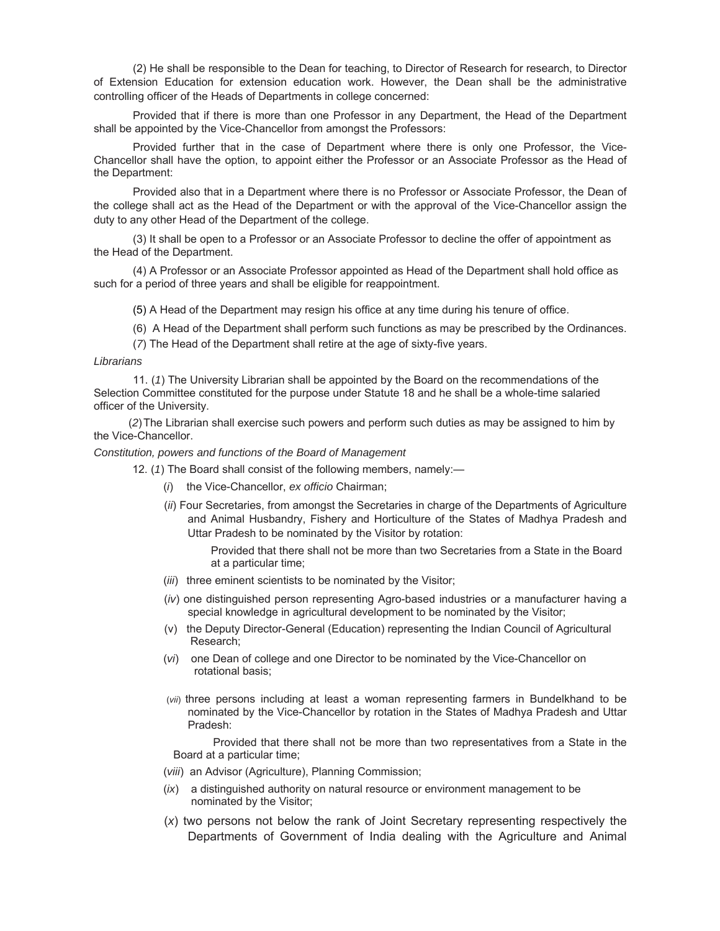(2) He shall be responsible to the Dean for teaching, to Director of Research for research, to Director of Extension Education for extension education work. However, the Dean shall be the administrative controlling officer of the Heads of Departments in college concerned:

Provided that if there is more than one Professor in any Department, the Head of the Department shall be appointed by the Vice-Chancellor from amongst the Professors:

Provided further that in the case of Department where there is only one Professor, the Vice-Chancellor shall have the option, to appoint either the Professor or an Associate Professor as the Head of the Department:

Provided also that in a Department where there is no Professor or Associate Professor, the Dean of the college shall act as the Head of the Department or with the approval of the Vice-Chancellor assign the duty to any other Head of the Department of the college.

(3) It shall be open to a Professor or an Associate Professor to decline the offer of appointment as the Head of the Department.

(4) A Professor or an Associate Professor appointed as Head of the Department shall hold office as such for a period of three years and shall be eligible for reappointment.

(5) A Head of the Department may resign his office at any time during his tenure of office.

(6) A Head of the Department shall perform such functions as may be prescribed by the Ordinances.

(*7*) The Head of the Department shall retire at the age of sixty-five years.

#### *Librarians*

11. (*1*) The University Librarian shall be appointed by the Board on the recommendations of the Selection Committee constituted for the purpose under Statute 18 and he shall be a whole-time salaried officer of the University.

 (*2*)The Librarian shall exercise such powers and perform such duties as may be assigned to him by the Vice-Chancellor.

#### *Constitution, powers and functions of the Board of Management*

12. (*1*) The Board shall consist of the following members, namely:—

- (*i*) the Vice-Chancellor, *ex officio* Chairman;
- (*ii*) Four Secretaries, from amongst the Secretaries in charge of the Departments of Agriculture and Animal Husbandry, Fishery and Horticulture of the States of Madhya Pradesh and Uttar Pradesh to be nominated by the Visitor by rotation:

Provided that there shall not be more than two Secretaries from a State in the Board at a particular time;

- (*iii*) three eminent scientists to be nominated by the Visitor;
- (*iv*) one distinguished person representing Agro-based industries or a manufacturer having a special knowledge in agricultural development to be nominated by the Visitor;
- (v) the Deputy Director-General (Education) representing the Indian Council of Agricultural Research;
- (*vi*) one Dean of college and one Director to be nominated by the Vice-Chancellor on rotational basis;
- (*vii*) three persons including at least a woman representing farmers in Bundelkhand to be nominated by the Vice-Chancellor by rotation in the States of Madhya Pradesh and Uttar Pradesh:

Provided that there shall not be more than two representatives from a State in the Board at a particular time;

- (*viii*) an Advisor (Agriculture), Planning Commission;
- (*ix*) a distinguished authority on natural resource or environment management to be nominated by the Visitor;
- (*x*) two persons not below the rank of Joint Secretary representing respectively the Departments of Government of India dealing with the Agriculture and Animal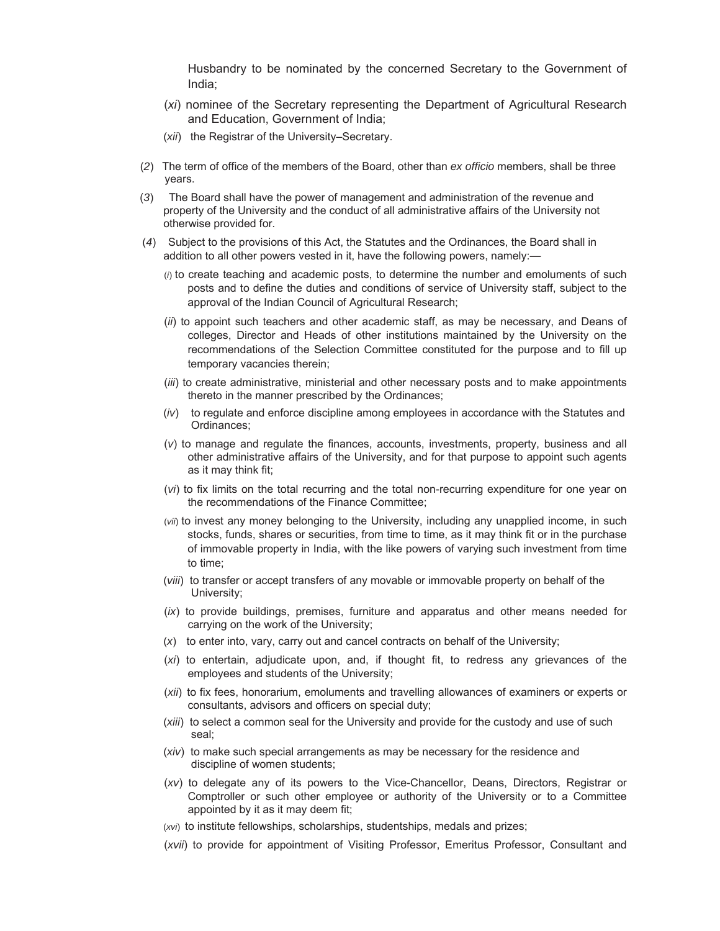Husbandry to be nominated by the concerned Secretary to the Government of India;

- (*xi*) nominee of the Secretary representing the Department of Agricultural Research and Education, Government of India;
- (*xii*) the Registrar of the University–Secretary.
- (*2*) The term of office of the members of the Board, other than *ex officio* members, shall be three years.
- (*3*) The Board shall have the power of management and administration of the revenue and property of the University and the conduct of all administrative affairs of the University not otherwise provided for.
- (*4*) Subject to the provisions of this Act, the Statutes and the Ordinances, the Board shall in addition to all other powers vested in it, have the following powers, namely:—
	- (*i*) to create teaching and academic posts, to determine the number and emoluments of such posts and to define the duties and conditions of service of University staff, subject to the approval of the Indian Council of Agricultural Research;
	- (*ii*) to appoint such teachers and other academic staff, as may be necessary, and Deans of colleges, Director and Heads of other institutions maintained by the University on the recommendations of the Selection Committee constituted for the purpose and to fill up temporary vacancies therein;
	- (*iii*) to create administrative, ministerial and other necessary posts and to make appointments thereto in the manner prescribed by the Ordinances;
	- (*iv*) to regulate and enforce discipline among employees in accordance with the Statutes and Ordinances;
	- (*v*) to manage and regulate the finances, accounts, investments, property, business and all other administrative affairs of the University, and for that purpose to appoint such agents as it may think fit;
	- (*vi*) to fix limits on the total recurring and the total non-recurring expenditure for one year on the recommendations of the Finance Committee;
	- (*vii*) to invest any money belonging to the University, including any unapplied income, in such stocks, funds, shares or securities, from time to time, as it may think fit or in the purchase of immovable property in India, with the like powers of varying such investment from time to time;
	- (*viii*) to transfer or accept transfers of any movable or immovable property on behalf of the University;
	- (*ix*) to provide buildings, premises, furniture and apparatus and other means needed for carrying on the work of the University;
	- (*x*) to enter into, vary, carry out and cancel contracts on behalf of the University;
	- (*xi*) to entertain, adjudicate upon, and, if thought fit, to redress any grievances of the employees and students of the University;
	- (*xii*) to fix fees, honorarium, emoluments and travelling allowances of examiners or experts or consultants, advisors and officers on special duty;
	- (*xiii*) to select a common seal for the University and provide for the custody and use of such seal;
	- (*xiv*) to make such special arrangements as may be necessary for the residence and discipline of women students;
	- (*xv*) to delegate any of its powers to the Vice-Chancellor, Deans, Directors, Registrar or Comptroller or such other employee or authority of the University or to a Committee appointed by it as it may deem fit;
	- (*xvi*) to institute fellowships, scholarships, studentships, medals and prizes;
	- (*xvii*) to provide for appointment of Visiting Professor, Emeritus Professor, Consultant and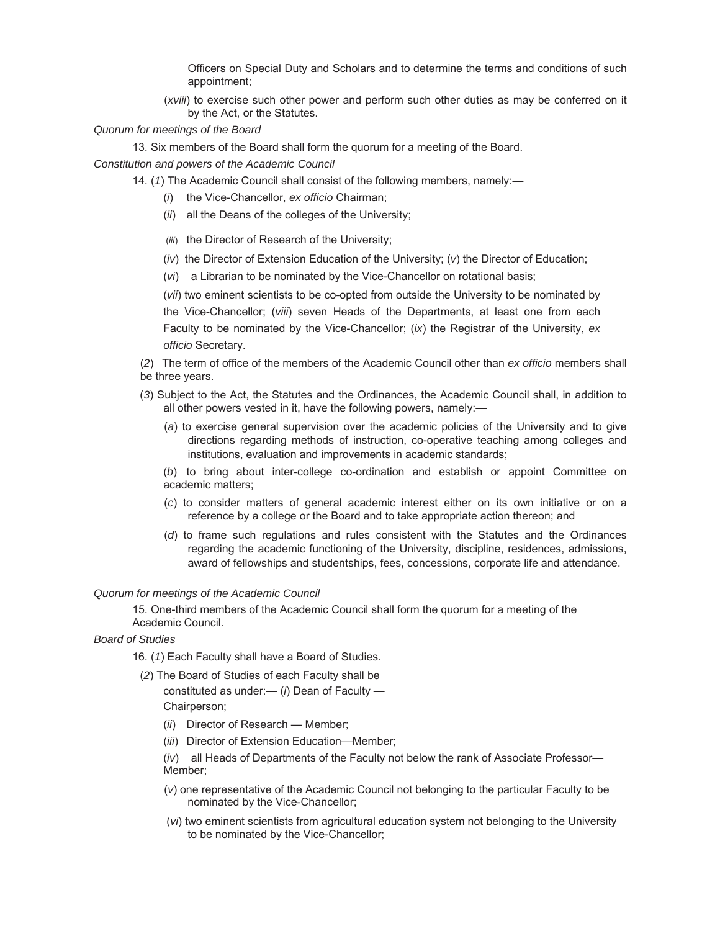Officers on Special Duty and Scholars and to determine the terms and conditions of such appointment;

- (*xviii*) to exercise such other power and perform such other duties as may be conferred on it by the Act, or the Statutes.
- *Quorum for meetings of the Board*
	- 13. Six members of the Board shall form the quorum for a meeting of the Board.

*Constitution and powers of the Academic Council*

- 14. (*1*) The Academic Council shall consist of the following members, namely:—
	- (*i*) the Vice-Chancellor, *ex officio* Chairman;
	- (*ii*) all the Deans of the colleges of the University;
	- (*iii*) the Director of Research of the University;
	- (*iv*) the Director of Extension Education of the University; (*v*) the Director of Education;
	- (*vi*) a Librarian to be nominated by the Vice-Chancellor on rotational basis;

(*vii*) two eminent scientists to be co-opted from outside the University to be nominated by the Vice-Chancellor; (*viii*) seven Heads of the Departments, at least one from each Faculty to be nominated by the Vice-Chancellor; (*ix*) the Registrar of the University, *ex officio* Secretary.

- (*2*) The term of office of the members of the Academic Council other than *ex officio* members shall be three years.
- (*3*) Subject to the Act, the Statutes and the Ordinances, the Academic Council shall, in addition to all other powers vested in it, have the following powers, namely:—
	- (*a*) to exercise general supervision over the academic policies of the University and to give directions regarding methods of instruction, co-operative teaching among colleges and institutions, evaluation and improvements in academic standards;
	- (*b*) to bring about inter-college co-ordination and establish or appoint Committee on academic matters;
	- (*c*) to consider matters of general academic interest either on its own initiative or on a reference by a college or the Board and to take appropriate action thereon; and
	- (*d*) to frame such regulations and rules consistent with the Statutes and the Ordinances regarding the academic functioning of the University, discipline, residences, admissions, award of fellowships and studentships, fees, concessions, corporate life and attendance.

## *Quorum for meetings of the Academic Council*

15. One-third members of the Academic Council shall form the quorum for a meeting of the Academic Council.

## *Board of Studies*

16. (*1*) Each Faculty shall have a Board of Studies.

(*2*) The Board of Studies of each Faculty shall be constituted as under:— (*i*) Dean of Faculty —

Chairperson;

- (*ii*) Director of Research Member;
- (*iii*) Director of Extension Education—Member;

(*iv*) all Heads of Departments of the Faculty not below the rank of Associate Professor— Member;

- (*v*) one representative of the Academic Council not belonging to the particular Faculty to be nominated by the Vice-Chancellor;
- (*vi*) two eminent scientists from agricultural education system not belonging to the University to be nominated by the Vice-Chancellor;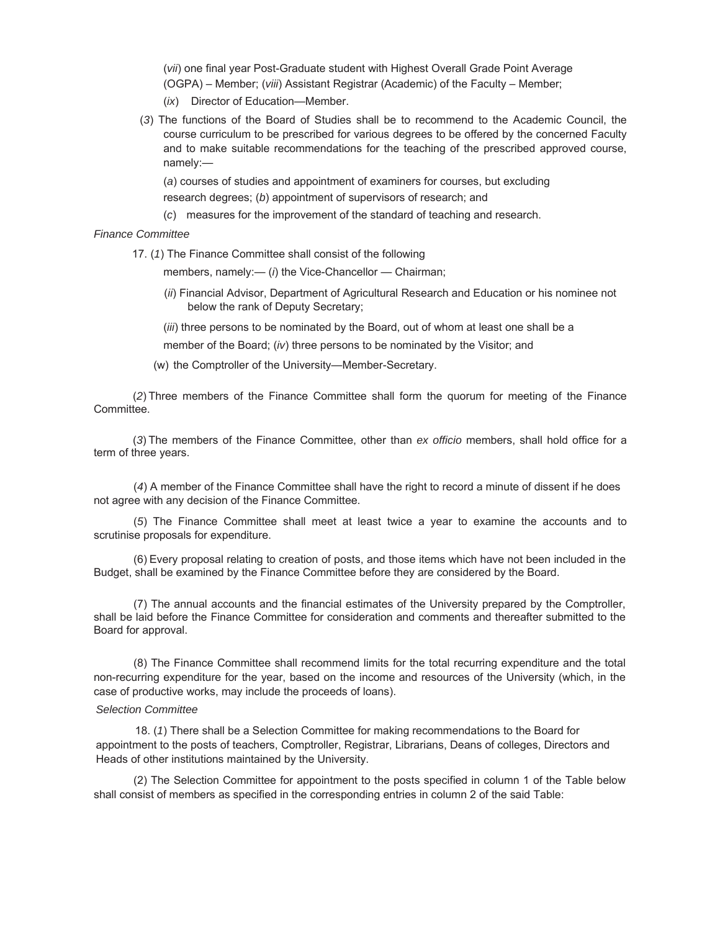(*vii*) one final year Post-Graduate student with Highest Overall Grade Point Average (OGPA) – Member; (*viii*) Assistant Registrar (Academic) of the Faculty – Member;

- (*ix*) Director of Education—Member.
- (*3*) The functions of the Board of Studies shall be to recommend to the Academic Council, the course curriculum to be prescribed for various degrees to be offered by the concerned Faculty and to make suitable recommendations for the teaching of the prescribed approved course, namely:—

(*a*) courses of studies and appointment of examiners for courses, but excluding research degrees; (*b*) appointment of supervisors of research; and

(*c*) measures for the improvement of the standard of teaching and research.

## *Finance Committee*

17. (*1*) The Finance Committee shall consist of the following

members, namely:- (*i*) the Vice-Chancellor - Chairman;

(*ii*) Financial Advisor, Department of Agricultural Research and Education or his nominee not below the rank of Deputy Secretary;

(*iii*) three persons to be nominated by the Board, out of whom at least one shall be a member of the Board; (*iv*) three persons to be nominated by the Visitor; and

(w) the Comptroller of the University—Member-Secretary.

 (*2*) Three members of the Finance Committee shall form the quorum for meeting of the Finance Committee.

 (*3*) The members of the Finance Committee, other than *ex officio* members, shall hold office for a term of three years.

(*4*) A member of the Finance Committee shall have the right to record a minute of dissent if he does not agree with any decision of the Finance Committee.

(*5*) The Finance Committee shall meet at least twice a year to examine the accounts and to scrutinise proposals for expenditure.

(6) Every proposal relating to creation of posts, and those items which have not been included in the Budget, shall be examined by the Finance Committee before they are considered by the Board.

(7) The annual accounts and the financial estimates of the University prepared by the Comptroller, shall be laid before the Finance Committee for consideration and comments and thereafter submitted to the Board for approval.

(8) The Finance Committee shall recommend limits for the total recurring expenditure and the total non-recurring expenditure for the year, based on the income and resources of the University (which, in the case of productive works, may include the proceeds of loans).

#### *Selection Committee*

18. (*1*) There shall be a Selection Committee for making recommendations to the Board for appointment to the posts of teachers, Comptroller, Registrar, Librarians, Deans of colleges, Directors and Heads of other institutions maintained by the University.

(2) The Selection Committee for appointment to the posts specified in column 1 of the Table below shall consist of members as specified in the corresponding entries in column 2 of the said Table: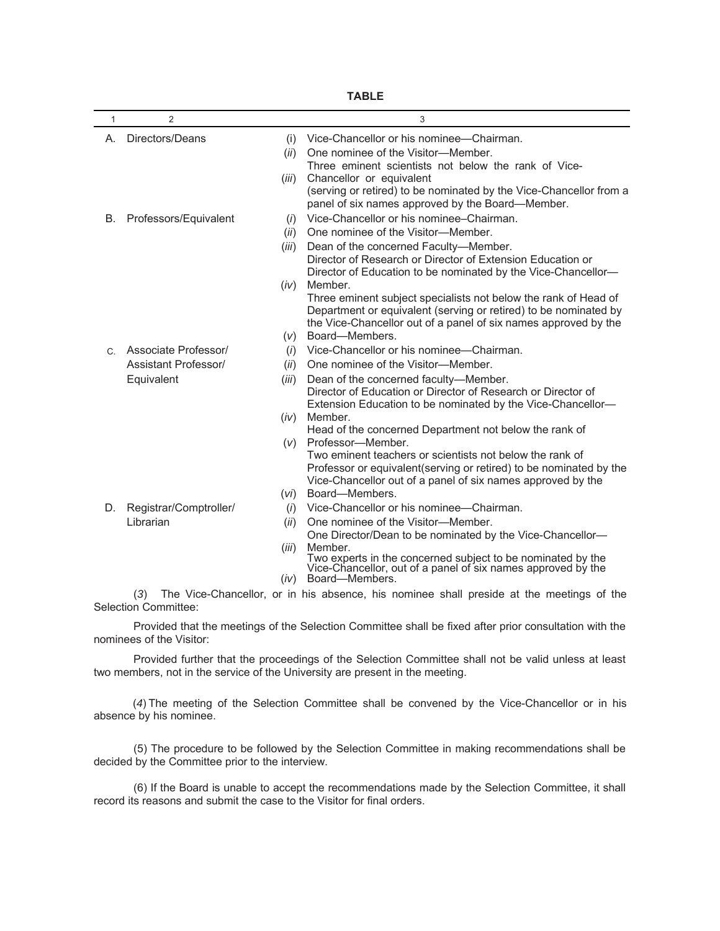| 1       | $\overline{2}$              |       | 3                                                                                                                           |
|---------|-----------------------------|-------|-----------------------------------------------------------------------------------------------------------------------------|
| А.      | Directors/Deans             | (i)   | Vice-Chancellor or his nominee-Chairman.                                                                                    |
|         |                             | (ii)  | One nominee of the Visitor-Member.                                                                                          |
|         |                             |       | Three eminent scientists not below the rank of Vice-                                                                        |
|         |                             | (iii) | Chancellor or equivalent                                                                                                    |
|         |                             |       | (serving or retired) to be nominated by the Vice-Chancellor from a                                                          |
|         |                             |       | panel of six names approved by the Board-Member.                                                                            |
| В.      | Professors/Equivalent       | (i)   | Vice-Chancellor or his nominee–Chairman.                                                                                    |
|         |                             | (ii)  | One nominee of the Visitor-Member.                                                                                          |
|         |                             | (iii) | Dean of the concerned Faculty-Member.                                                                                       |
|         |                             |       | Director of Research or Director of Extension Education or                                                                  |
|         |                             |       | Director of Education to be nominated by the Vice-Chancellor-                                                               |
|         |                             | (iv)  | Member.                                                                                                                     |
|         |                             |       | Three eminent subject specialists not below the rank of Head of                                                             |
|         |                             |       | Department or equivalent (serving or retired) to be nominated by                                                            |
|         |                             |       | the Vice-Chancellor out of a panel of six names approved by the                                                             |
|         |                             | (v)   | Board-Members.                                                                                                              |
| $C_{1}$ | Associate Professor/        | (i)   | Vice-Chancellor or his nominee-Chairman.                                                                                    |
|         | <b>Assistant Professor/</b> | (ii)  | One nominee of the Visitor-Member.                                                                                          |
|         | Equivalent                  | (iii) | Dean of the concerned faculty-Member.                                                                                       |
|         |                             |       | Director of Education or Director of Research or Director of                                                                |
|         |                             |       | Extension Education to be nominated by the Vice-Chancellor-                                                                 |
|         |                             | (iv)  | Member.                                                                                                                     |
|         |                             |       | Head of the concerned Department not below the rank of                                                                      |
|         |                             | (v)   | Professor-Member.                                                                                                           |
|         |                             |       | Two eminent teachers or scientists not below the rank of                                                                    |
|         |                             |       | Professor or equivalent(serving or retired) to be nominated by the                                                          |
|         |                             |       | Vice-Chancellor out of a panel of six names approved by the<br>Board-Members.                                               |
|         |                             | (vi)  | Vice-Chancellor or his nominee-Chairman.                                                                                    |
| D.      | Registrar/Comptroller/      | (i)   |                                                                                                                             |
|         | Librarian                   | (ii)  | One nominee of the Visitor-Member.                                                                                          |
|         |                             |       | One Director/Dean to be nominated by the Vice-Chancellor-<br>Member.                                                        |
|         |                             | (iii) |                                                                                                                             |
|         |                             |       | Two experts in the concerned subject to be nominated by the<br>Vice-Chancellor, out of a panel of six names approved by the |
|         |                             | (iv)  | Board-Members.                                                                                                              |
|         | (3)                         |       | The Vice-Chancellor, or in his absence, his nominee shall preside at the meetings of the                                    |

**TABLE**

Selection Committee: Provided that the meetings of the Selection Committee shall be fixed after prior consultation with the

nominees of the Visitor:

Provided further that the proceedings of the Selection Committee shall not be valid unless at least two members, not in the service of the University are present in the meeting.

 (*4*) The meeting of the Selection Committee shall be convened by the Vice-Chancellor or in his absence by his nominee.

(5) The procedure to be followed by the Selection Committee in making recommendations shall be decided by the Committee prior to the interview.

(6) If the Board is unable to accept the recommendations made by the Selection Committee, it shall record its reasons and submit the case to the Visitor for final orders.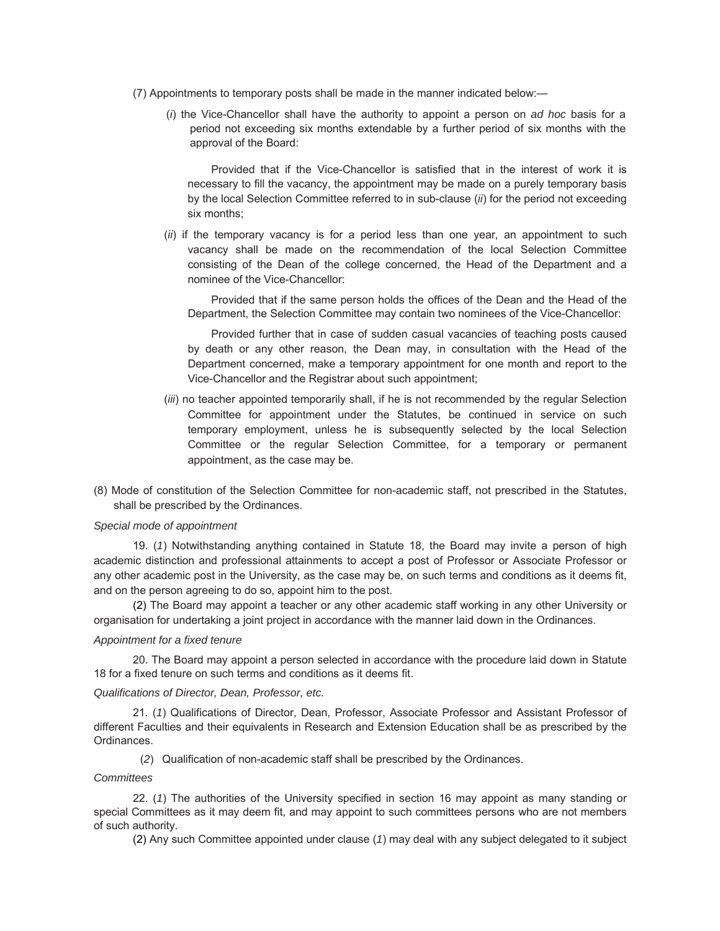- (7) Appointments to temporary posts shall be made in the manner indicated below:—
	- (*i*) the Vice-Chancellor shall have the authority to appoint a person on *ad hoc* basis for a period not exceeding six months extendable by a further period of six months with the approval of the Board:

Provided that if the Vice-Chancellor is satisfied that in the interest of work it is necessary to fill the vacancy, the appointment may be made on a purely temporary basis by the local Selection Committee referred to in sub-clause (*ii*) for the period not exceeding six months;

(*ii*) if the temporary vacancy is for a period less than one year, an appointment to such vacancy shall be made on the recommendation of the local Selection Committee consisting of the Dean of the college concerned, the Head of the Department and a nominee of the Vice-Chancellor:

Provided that if the same person holds the offices of the Dean and the Head of the Department, the Selection Committee may contain two nominees of the Vice-Chancellor:

Provided further that in case of sudden casual vacancies of teaching posts caused by death or any other reason, the Dean may, in consultation with the Head of the Department concerned, make a temporary appointment for one month and report to the Vice-Chancellor and the Registrar about such appointment;

- (*iii*) no teacher appointed temporarily shall, if he is not recommended by the regular Selection Committee for appointment under the Statutes, be continued in service on such temporary employment, unless he is subsequently selected by the local Selection Committee or the regular Selection Committee, for a temporary or permanent appointment, as the case may be.
- (8) Mode of constitution of the Selection Committee for non-academic staff, not prescribed in the Statutes, shall be prescribed by the Ordinances.

#### *Special mode of appointment*

19. (*1*) Notwithstanding anything contained in Statute 18, the Board may invite a person of high academic distinction and professional attainments to accept a post of Professor or Associate Professor or any other academic post in the University, as the case may be, on such terms and conditions as it deems fit, and on the person agreeing to do so, appoint him to the post.

(2) The Board may appoint a teacher or any other academic staff working in any other University or organisation for undertaking a joint project in accordance with the manner laid down in the Ordinances.

#### *Appointment for a fixed tenure*

20. The Board may appoint a person selected in accordance with the procedure laid down in Statute 18 for a fixed tenure on such terms and conditions as it deems fit.

#### *Qualifications of Director, Dean, Professor, etc.*

21. (*1*) Qualifications of Director, Dean, Professor, Associate Professor and Assistant Professor of different Faculties and their equivalents in Research and Extension Education shall be as prescribed by the Ordinances.

(*2*) Qualification of non-academic staff shall be prescribed by the Ordinances.

## *Committees*

22. (*1*) The authorities of the University specified in section 16 may appoint as many standing or special Committees as it may deem fit, and may appoint to such committees persons who are not members of such authority.

(2) Any such Committee appointed under clause (*1*) may deal with any subject delegated to it subject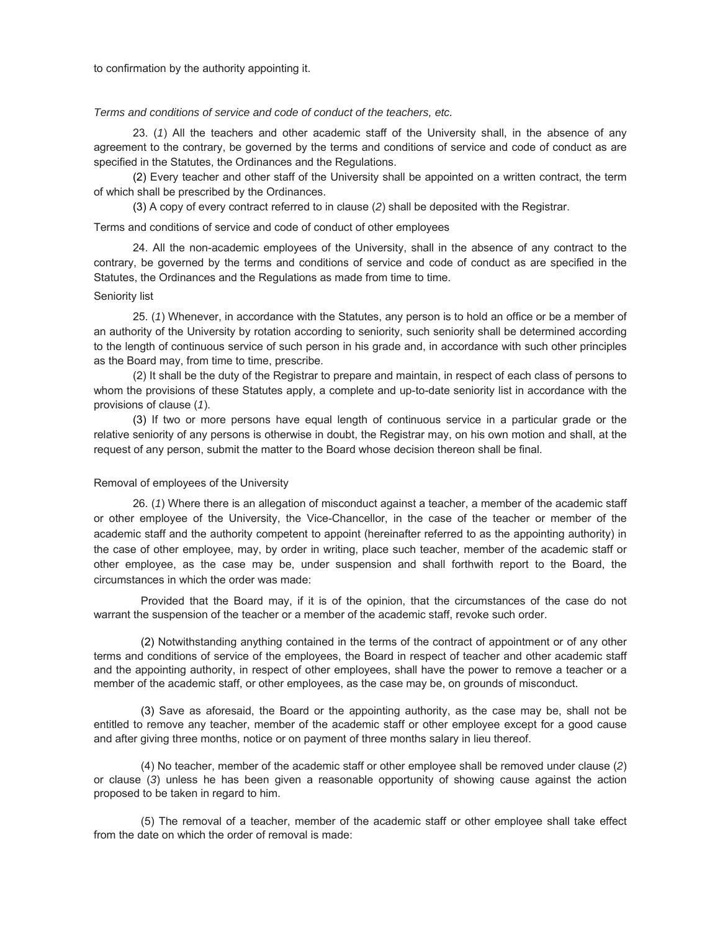to confirmation by the authority appointing it.

#### *Terms and conditions of service and code of conduct of the teachers, etc.*

23. (*1*) All the teachers and other academic staff of the University shall, in the absence of any agreement to the contrary, be governed by the terms and conditions of service and code of conduct as are specified in the Statutes, the Ordinances and the Regulations.

(2) Every teacher and other staff of the University shall be appointed on a written contract, the term of which shall be prescribed by the Ordinances.

(3) A copy of every contract referred to in clause (*2*) shall be deposited with the Registrar.

Terms and conditions of service and code of conduct of other employees

24. All the non-academic employees of the University, shall in the absence of any contract to the contrary, be governed by the terms and conditions of service and code of conduct as are specified in the Statutes, the Ordinances and the Regulations as made from time to time.

#### Seniority list

25. (*1*) Whenever, in accordance with the Statutes, any person is to hold an office or be a member of an authority of the University by rotation according to seniority, such seniority shall be determined according to the length of continuous service of such person in his grade and, in accordance with such other principles as the Board may, from time to time, prescribe.

(2) It shall be the duty of the Registrar to prepare and maintain, in respect of each class of persons to whom the provisions of these Statutes apply, a complete and up-to-date seniority list in accordance with the provisions of clause (*1*).

(3) If two or more persons have equal length of continuous service in a particular grade or the relative seniority of any persons is otherwise in doubt, the Registrar may, on his own motion and shall, at the request of any person, submit the matter to the Board whose decision thereon shall be final.

#### Removal of employees of the University

26. (*1*) Where there is an allegation of misconduct against a teacher, a member of the academic staff or other employee of the University, the Vice-Chancellor, in the case of the teacher or member of the academic staff and the authority competent to appoint (hereinafter referred to as the appointing authority) in the case of other employee, may, by order in writing, place such teacher, member of the academic staff or other employee, as the case may be, under suspension and shall forthwith report to the Board, the circumstances in which the order was made:

Provided that the Board may, if it is of the opinion, that the circumstances of the case do not warrant the suspension of the teacher or a member of the academic staff, revoke such order.

(2) Notwithstanding anything contained in the terms of the contract of appointment or of any other terms and conditions of service of the employees, the Board in respect of teacher and other academic staff and the appointing authority, in respect of other employees, shall have the power to remove a teacher or a member of the academic staff, or other employees, as the case may be, on grounds of misconduct.

(3) Save as aforesaid, the Board or the appointing authority, as the case may be, shall not be entitled to remove any teacher, member of the academic staff or other employee except for a good cause and after giving three months, notice or on payment of three months salary in lieu thereof.

(4) No teacher, member of the academic staff or other employee shall be removed under clause (*2*) or clause (*3*) unless he has been given a reasonable opportunity of showing cause against the action proposed to be taken in regard to him.

(5) The removal of a teacher, member of the academic staff or other employee shall take effect from the date on which the order of removal is made: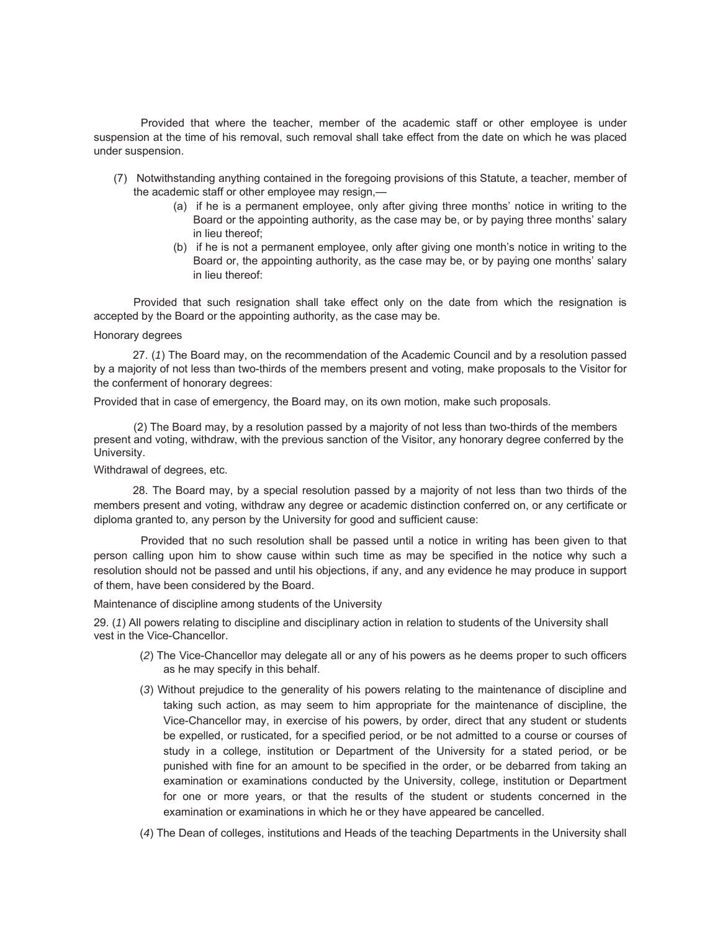Provided that where the teacher, member of the academic staff or other employee is under suspension at the time of his removal, such removal shall take effect from the date on which he was placed under suspension.

- (7) Notwithstanding anything contained in the foregoing provisions of this Statute, a teacher, member of the academic staff or other employee may resign,—
	- (a) if he is a permanent employee, only after giving three months' notice in writing to the Board or the appointing authority, as the case may be, or by paying three months' salary in lieu thereof;
	- (b) if he is not a permanent employee, only after giving one month's notice in writing to the Board or, the appointing authority, as the case may be, or by paying one months' salary in lieu thereof:

Provided that such resignation shall take effect only on the date from which the resignation is accepted by the Board or the appointing authority, as the case may be.

#### Honorary degrees

27. (*1*) The Board may, on the recommendation of the Academic Council and by a resolution passed by a majority of not less than two-thirds of the members present and voting, make proposals to the Visitor for the conferment of honorary degrees:

Provided that in case of emergency, the Board may, on its own motion, make such proposals.

 (2) The Board may, by a resolution passed by a majority of not less than two-thirds of the members present and voting, withdraw, with the previous sanction of the Visitor, any honorary degree conferred by the University.

Withdrawal of degrees, etc.

28. The Board may, by a special resolution passed by a majority of not less than two thirds of the members present and voting, withdraw any degree or academic distinction conferred on, or any certificate or diploma granted to, any person by the University for good and sufficient cause:

Provided that no such resolution shall be passed until a notice in writing has been given to that person calling upon him to show cause within such time as may be specified in the notice why such a resolution should not be passed and until his objections, if any, and any evidence he may produce in support of them, have been considered by the Board.

Maintenance of discipline among students of the University

29. (*1*) All powers relating to discipline and disciplinary action in relation to students of the University shall vest in the Vice-Chancellor.

- (*2*) The Vice-Chancellor may delegate all or any of his powers as he deems proper to such officers as he may specify in this behalf.
- (*3*) Without prejudice to the generality of his powers relating to the maintenance of discipline and taking such action, as may seem to him appropriate for the maintenance of discipline, the Vice-Chancellor may, in exercise of his powers, by order, direct that any student or students be expelled, or rusticated, for a specified period, or be not admitted to a course or courses of study in a college, institution or Department of the University for a stated period, or be punished with fine for an amount to be specified in the order, or be debarred from taking an examination or examinations conducted by the University, college, institution or Department for one or more years, or that the results of the student or students concerned in the examination or examinations in which he or they have appeared be cancelled.
- (*4*) The Dean of colleges, institutions and Heads of the teaching Departments in the University shall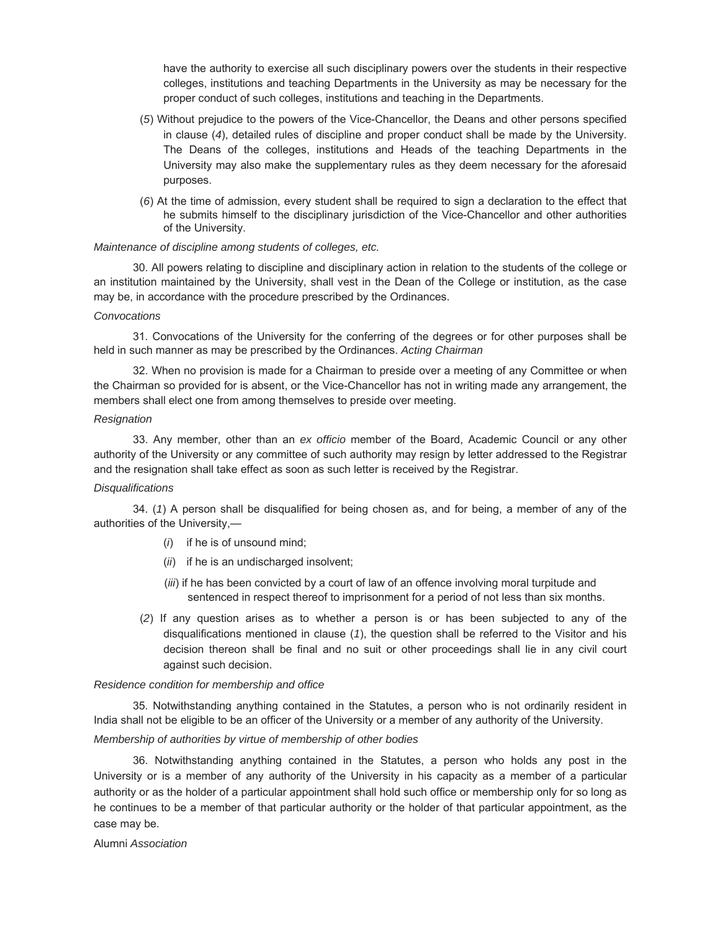have the authority to exercise all such disciplinary powers over the students in their respective colleges, institutions and teaching Departments in the University as may be necessary for the proper conduct of such colleges, institutions and teaching in the Departments.

- (*5*) Without prejudice to the powers of the Vice-Chancellor, the Deans and other persons specified in clause (*4*), detailed rules of discipline and proper conduct shall be made by the University. The Deans of the colleges, institutions and Heads of the teaching Departments in the University may also make the supplementary rules as they deem necessary for the aforesaid purposes.
- (*6*) At the time of admission, every student shall be required to sign a declaration to the effect that he submits himself to the disciplinary jurisdiction of the Vice-Chancellor and other authorities of the University.

### *Maintenance of discipline among students of colleges, etc.*

30. All powers relating to discipline and disciplinary action in relation to the students of the college or an institution maintained by the University, shall vest in the Dean of the College or institution, as the case may be, in accordance with the procedure prescribed by the Ordinances.

#### *Convocations*

31. Convocations of the University for the conferring of the degrees or for other purposes shall be held in such manner as may be prescribed by the Ordinances. *Acting Chairman*

32. When no provision is made for a Chairman to preside over a meeting of any Committee or when the Chairman so provided for is absent, or the Vice-Chancellor has not in writing made any arrangement, the members shall elect one from among themselves to preside over meeting.

#### *Resignation*

33. Any member, other than an *ex officio* member of the Board, Academic Council or any other authority of the University or any committee of such authority may resign by letter addressed to the Registrar and the resignation shall take effect as soon as such letter is received by the Registrar.

#### *Disqualifications*

34. (*1*) A person shall be disqualified for being chosen as, and for being, a member of any of the authorities of the University,—

- (*i*) if he is of unsound mind;
- (*ii*) if he is an undischarged insolvent;
- (*iii*) if he has been convicted by a court of law of an offence involving moral turpitude and sentenced in respect thereof to imprisonment for a period of not less than six months.
- (*2*) If any question arises as to whether a person is or has been subjected to any of the disqualifications mentioned in clause (*1*), the question shall be referred to the Visitor and his decision thereon shall be final and no suit or other proceedings shall lie in any civil court against such decision.

#### *Residence condition for membership and office*

35. Notwithstanding anything contained in the Statutes, a person who is not ordinarily resident in India shall not be eligible to be an officer of the University or a member of any authority of the University.

## *Membership of authorities by virtue of membership of other bodies*

36. Notwithstanding anything contained in the Statutes, a person who holds any post in the University or is a member of any authority of the University in his capacity as a member of a particular authority or as the holder of a particular appointment shall hold such office or membership only for so long as he continues to be a member of that particular authority or the holder of that particular appointment, as the case may be.

### Alumni *Association*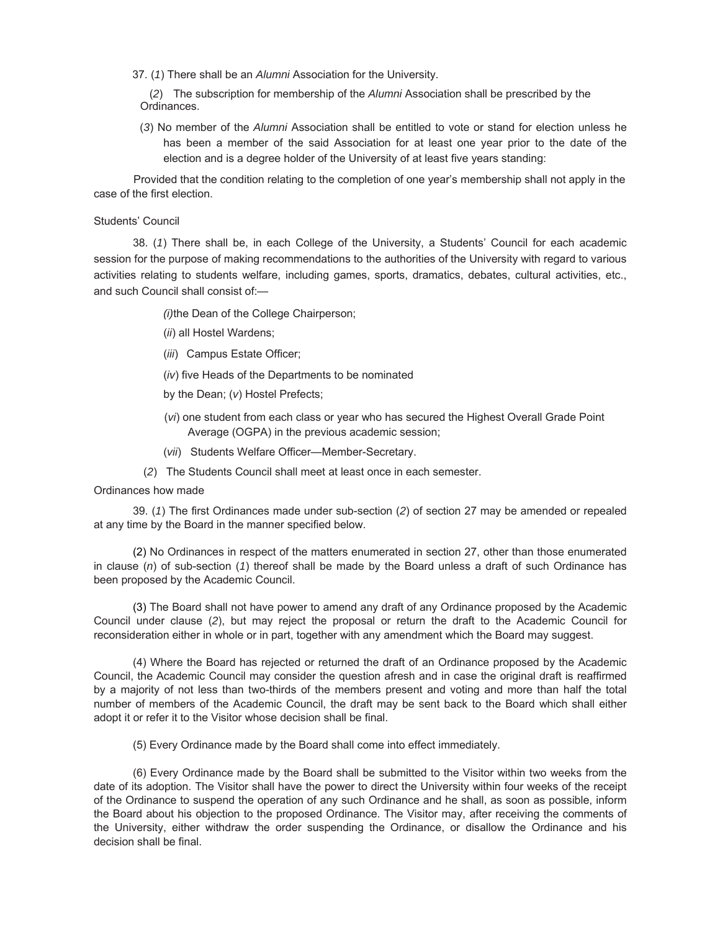37. (*1*) There shall be an *Alumni* Association for the University.

 (*2*) The subscription for membership of the *Alumni* Association shall be prescribed by the Ordinances.

(*3*) No member of the *Alumni* Association shall be entitled to vote or stand for election unless he has been a member of the said Association for at least one year prior to the date of the election and is a degree holder of the University of at least five years standing:

Provided that the condition relating to the completion of one year's membership shall not apply in the case of the first election.

## Students' Council

38. (*1*) There shall be, in each College of the University, a Students' Council for each academic session for the purpose of making recommendations to the authorities of the University with regard to various activities relating to students welfare, including games, sports, dramatics, debates, cultural activities, etc., and such Council shall consist of:—

*(i)* the Dean of the College Chairperson;

- (*ii*) all Hostel Wardens;
- (*iii*) Campus Estate Officer;
- (*iv*) five Heads of the Departments to be nominated
- by the Dean; (*v*) Hostel Prefects;
- (*vi*) one student from each class or year who has secured the Highest Overall Grade Point Average (OGPA) in the previous academic session;
- (*vii*) Students Welfare Officer—Member-Secretary.
- (*2*) The Students Council shall meet at least once in each semester.

Ordinances how made

39. (*1*) The first Ordinances made under sub-section (*2*) of section 27 may be amended or repealed at any time by the Board in the manner specified below.

(2) No Ordinances in respect of the matters enumerated in section 27, other than those enumerated in clause (*n*) of sub-section (*1*) thereof shall be made by the Board unless a draft of such Ordinance has been proposed by the Academic Council.

(3) The Board shall not have power to amend any draft of any Ordinance proposed by the Academic Council under clause (*2*), but may reject the proposal or return the draft to the Academic Council for reconsideration either in whole or in part, together with any amendment which the Board may suggest.

(4) Where the Board has rejected or returned the draft of an Ordinance proposed by the Academic Council, the Academic Council may consider the question afresh and in case the original draft is reaffirmed by a majority of not less than two-thirds of the members present and voting and more than half the total number of members of the Academic Council, the draft may be sent back to the Board which shall either adopt it or refer it to the Visitor whose decision shall be final.

(5) Every Ordinance made by the Board shall come into effect immediately.

(6) Every Ordinance made by the Board shall be submitted to the Visitor within two weeks from the date of its adoption. The Visitor shall have the power to direct the University within four weeks of the receipt of the Ordinance to suspend the operation of any such Ordinance and he shall, as soon as possible, inform the Board about his objection to the proposed Ordinance. The Visitor may, after receiving the comments of the University, either withdraw the order suspending the Ordinance, or disallow the Ordinance and his decision shall be final.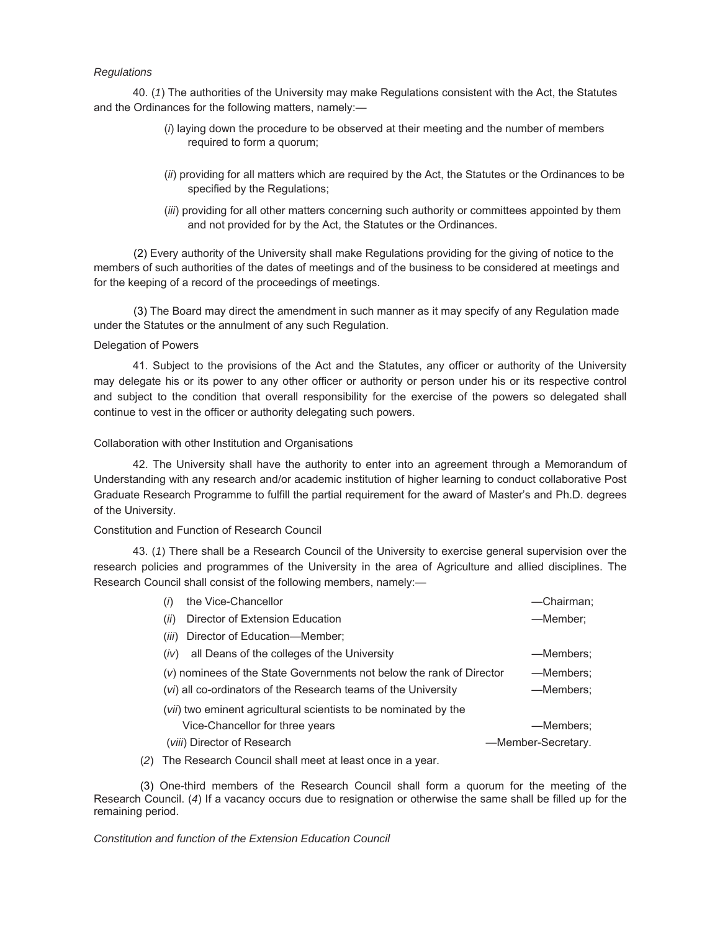## *Regulations*

40. (*1*) The authorities of the University may make Regulations consistent with the Act, the Statutes and the Ordinances for the following matters, namely:—

- (*i*) laying down the procedure to be observed at their meeting and the number of members required to form a quorum;
- (*ii*) providing for all matters which are required by the Act, the Statutes or the Ordinances to be specified by the Regulations;
- (*iii*) providing for all other matters concerning such authority or committees appointed by them and not provided for by the Act, the Statutes or the Ordinances.

 (2) Every authority of the University shall make Regulations providing for the giving of notice to the members of such authorities of the dates of meetings and of the business to be considered at meetings and for the keeping of a record of the proceedings of meetings.

 (3) The Board may direct the amendment in such manner as it may specify of any Regulation made under the Statutes or the annulment of any such Regulation.

## Delegation of Powers

41. Subject to the provisions of the Act and the Statutes, any officer or authority of the University may delegate his or its power to any other officer or authority or person under his or its respective control and subject to the condition that overall responsibility for the exercise of the powers so delegated shall continue to vest in the officer or authority delegating such powers.

## Collaboration with other Institution and Organisations

42. The University shall have the authority to enter into an agreement through a Memorandum of Understanding with any research and/or academic institution of higher learning to conduct collaborative Post Graduate Research Programme to fulfill the partial requirement for the award of Master's and Ph.D. degrees of the University.

## Constitution and Function of Research Council

43. (*1*) There shall be a Research Council of the University to exercise general supervision over the research policies and programmes of the University in the area of Agriculture and allied disciplines. The Research Council shall consist of the following members, namely:—

| the Vice-Chancellor<br>(i)                                                        | -Chairman;         |  |  |  |  |
|-----------------------------------------------------------------------------------|--------------------|--|--|--|--|
| Director of Extension Education<br>(ii)                                           | -Member;           |  |  |  |  |
| Director of Education-Member;<br>(iii)                                            |                    |  |  |  |  |
| all Deans of the colleges of the University<br>(iv)                               | —Members:          |  |  |  |  |
| (v) nominees of the State Governments not below the rank of Director<br>-Members; |                    |  |  |  |  |
| (vi) all co-ordinators of the Research teams of the University<br>-Members;       |                    |  |  |  |  |
| ( <i>vii</i> ) two eminent agricultural scientists to be nominated by the         |                    |  |  |  |  |
| Vice-Chancellor for three years                                                   | —Members:          |  |  |  |  |
| (viii) Director of Research                                                       | -Member-Secretary. |  |  |  |  |

(*2*) The Research Council shall meet at least once in a year.

(3) One-third members of the Research Council shall form a quorum for the meeting of the Research Council. (*4*) If a vacancy occurs due to resignation or otherwise the same shall be filled up for the remaining period.

*Constitution and function of the Extension Education Council*